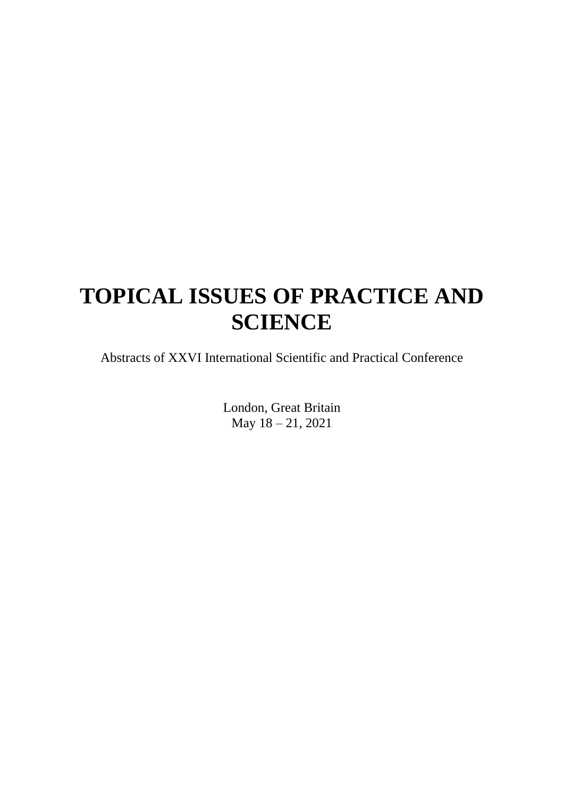# **TOPICAL ISSUES OF PRACTICE AND SCIENCE**

Abstracts of XXVI International Scientific and Practical Conference

London, Great Britain May 18 – 21, 2021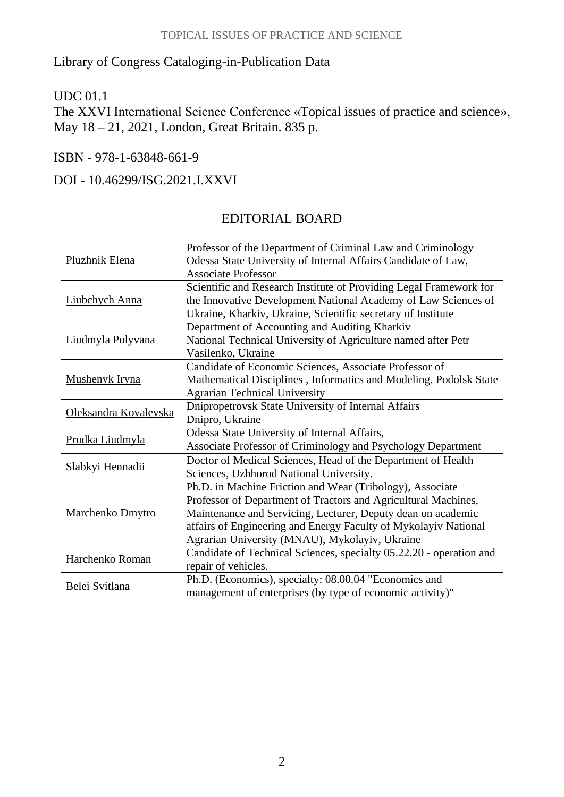#### Library of Congress Cataloging-in-Publication Data

#### UDC 01.1

The XXVI International Science Conference «Topical issues of practice and science», May 18 – 21, 2021, London, Great Britain. 835 p.

#### ISBN - 978-1-63848-661-9

#### DOI - 10.46299/ISG.2021.I.XXVI

#### EDITORIAL BOARD

| Pluzhnik Elena        | Professor of the Department of Criminal Law and Criminology<br>Odessa State University of Internal Affairs Candidate of Law,                                                                         |
|-----------------------|------------------------------------------------------------------------------------------------------------------------------------------------------------------------------------------------------|
|                       | <b>Associate Professor</b>                                                                                                                                                                           |
| Liubchych Anna        | Scientific and Research Institute of Providing Legal Framework for<br>the Innovative Development National Academy of Law Sciences of<br>Ukraine, Kharkiv, Ukraine, Scientific secretary of Institute |
|                       | Department of Accounting and Auditing Kharkiv                                                                                                                                                        |
| Liudmyla Polyvana     | National Technical University of Agriculture named after Petr                                                                                                                                        |
|                       | Vasilenko, Ukraine                                                                                                                                                                                   |
|                       | Candidate of Economic Sciences, Associate Professor of                                                                                                                                               |
| Mushenyk Iryna        | Mathematical Disciplines, Informatics and Modeling. Podolsk State                                                                                                                                    |
|                       | <b>Agrarian Technical University</b>                                                                                                                                                                 |
| Oleksandra Kovalevska | Dnipropetrovsk State University of Internal Affairs                                                                                                                                                  |
|                       | Dnipro, Ukraine                                                                                                                                                                                      |
|                       | Odessa State University of Internal Affairs,                                                                                                                                                         |
| Prudka Liudmyla       | Associate Professor of Criminology and Psychology Department                                                                                                                                         |
|                       | Doctor of Medical Sciences, Head of the Department of Health                                                                                                                                         |
| Slabkyi Hennadii      | Sciences, Uzhhorod National University.                                                                                                                                                              |
|                       | Ph.D. in Machine Friction and Wear (Tribology), Associate                                                                                                                                            |
|                       | Professor of Department of Tractors and Agricultural Machines,                                                                                                                                       |
| Marchenko Dmytro      | Maintenance and Servicing, Lecturer, Deputy dean on academic                                                                                                                                         |
|                       | affairs of Engineering and Energy Faculty of Mykolayiv National                                                                                                                                      |
|                       | Agrarian University (MNAU), Mykolayiv, Ukraine                                                                                                                                                       |
|                       | Candidate of Technical Sciences, specialty 05.22.20 - operation and                                                                                                                                  |
| Harchenko Roman       | repair of vehicles.                                                                                                                                                                                  |
|                       | Ph.D. (Economics), specialty: 08.00.04 "Economics and                                                                                                                                                |
| Belei Svitlana        | management of enterprises (by type of economic activity)"                                                                                                                                            |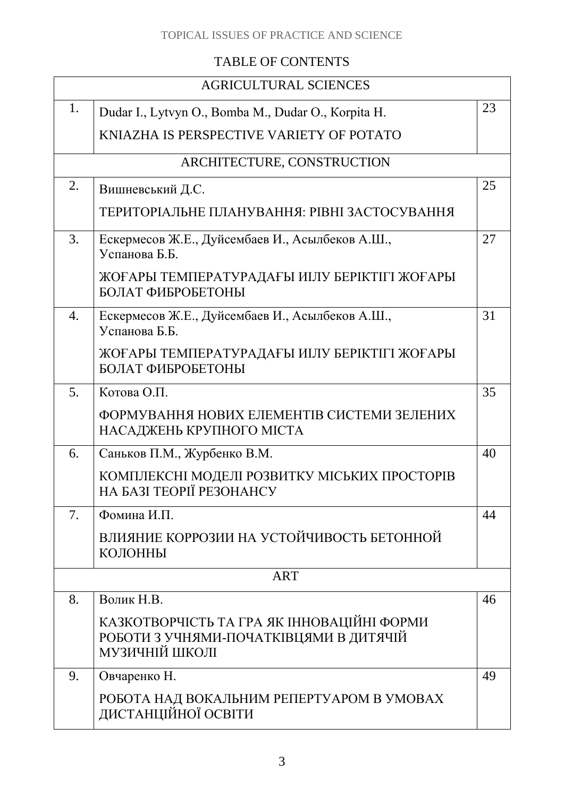#### TOPICAL ISSUES OF PRACTICE AND SCIENCE

### TABLE OF CONTENTS

|                  | <b>AGRICULTURAL SCIENCES</b>                                                                           |    |  |
|------------------|--------------------------------------------------------------------------------------------------------|----|--|
| 1.               | Dudar I., Lytvyn O., Bomba M., Dudar O., Korpita H.                                                    | 23 |  |
|                  | KNIAZHA IS PERSPECTIVE VARIETY OF POTATO                                                               |    |  |
|                  | ARCHITECTURE, CONSTRUCTION                                                                             |    |  |
| 2.               | Вишневський Д.С.                                                                                       | 25 |  |
|                  | ТЕРИТОРІАЛЬНЕ ПЛАНУВАННЯ: РІВНІ ЗАСТОСУВАННЯ                                                           |    |  |
| 3.               | Ескермесов Ж.Е., Дуйсембаев И., Асылбеков А.Ш.,<br>Успанова Б.Б.                                       | 27 |  |
|                  | ЖОҒАРЫ ТЕМПЕРАТУРАДАҒЫ ИІЛУ БЕРІКТІГІ ЖОҒАРЫ<br>БОЛАТ ФИБРОБЕТОНЫ                                      |    |  |
| $\overline{4}$ . | Ескермесов Ж.Е., Дуйсембаев И., Асылбеков А.Ш.,<br>Успанова Б.Б.                                       | 31 |  |
|                  | ЖОҒАРЫ ТЕМПЕРАТУРАДАҒЫ ИІЛУ БЕРІКТІГІ ЖОҒАРЫ<br>БОЛАТ ФИБРОБЕТОНЫ                                      |    |  |
| 5.               | Котова О.П.                                                                                            | 35 |  |
|                  | ФОРМУВАННЯ НОВИХ ЕЛЕМЕНТІВ СИСТЕМИ ЗЕЛЕНИХ<br>НАСАДЖЕНЬ КРУПНОГО МІСТА                                 |    |  |
| 6.               | Саньков П.М., Журбенко В.М.                                                                            | 40 |  |
|                  | КОМПЛЕКСНІ МОДЕЛІ РОЗВИТКУ МІСЬКИХ ПРОСТОРІВ<br>НА БАЗІ ТЕОРІЇ РЕЗОНАНСУ                               |    |  |
| 7.               | Фомина И.П.                                                                                            | 44 |  |
|                  | ВЛИЯНИЕ КОРРОЗИИ НА УСТОЙЧИВОСТЬ БЕТОННОЙ<br>КОЛОННЫ                                                   |    |  |
|                  | <b>ART</b>                                                                                             |    |  |
| 8.               | Волик Н.В.                                                                                             | 46 |  |
|                  | КАЗКОТВОРЧІСТЬ ТА ГРА ЯК ІННОВАЦІЙНІ ФОРМИ<br>РОБОТИ З УЧНЯМИ-ПОЧАТКІВЦЯМИ В ДИТЯЧІЙ<br>МУЗИЧНІЙ ШКОЛІ |    |  |
| 9.               | Овчаренко Н.                                                                                           | 49 |  |
|                  | РОБОТА НАД ВОКАЛЬНИМ РЕПЕРТУАРОМ В УМОВАХ<br>ДИСТАНЦІЙНОЇ ОСВІТИ                                       |    |  |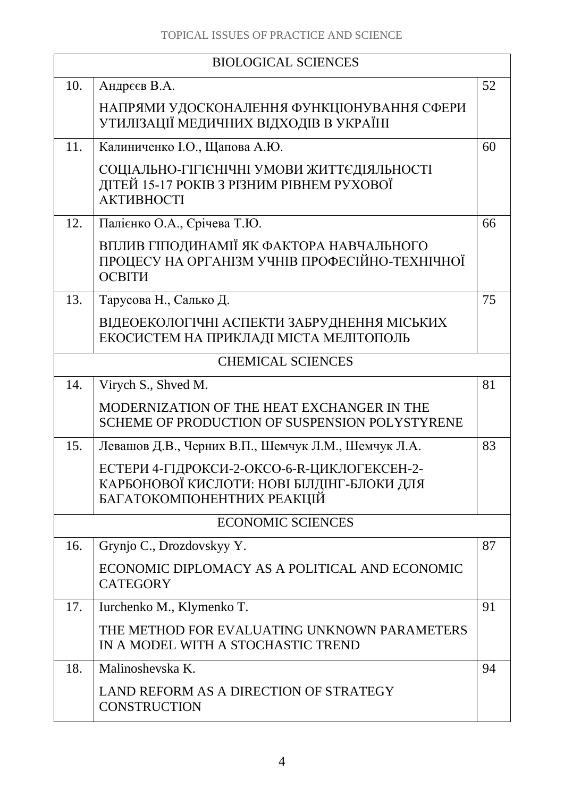| <b>BIOLOGICAL SCIENCES</b> |                                                                                                                         |    |
|----------------------------|-------------------------------------------------------------------------------------------------------------------------|----|
| 10.                        | Андреєв В.А.                                                                                                            | 52 |
|                            | НАПРЯМИ УДОСКОНАЛЕННЯ ФУНКЦІОНУВАННЯ СФЕРИ<br>УТИЛІЗАЦІЇ МЕДИЧНИХ ВІДХОДІВ В УКРАЇНІ                                    |    |
| 11.                        | Калиниченко І.О., Щапова А.Ю.                                                                                           | 60 |
|                            | СОЦІАЛЬНО-ГІГІЄНІЧНІ УМОВИ ЖИТТЄДІЯЛЬНОСТІ<br>ДІТЕЙ 15-17 РОКІВ З РІЗНИМ РІВНЕМ РУХОВОЇ<br><b>АКТИВНОСТІ</b>            |    |
| 12.                        | Палієнко О.А., Єрічева Т.Ю.                                                                                             | 66 |
|                            | ВПЛИВ ГІПОДИНАМІЇ ЯК ФАКТОРА НАВЧАЛЬНОГО<br>ПРОЦЕСУ НА ОРГАНІЗМ УЧНІВ ПРОФЕСІЙНО-ТЕХНІЧНОЇ<br>ОСВІТИ                    |    |
| 13.                        | Тарусова Н., Салько Д.                                                                                                  | 75 |
|                            | ВІДЕОЕКОЛОГІЧНІ АСПЕКТИ ЗАБРУДНЕННЯ МІСЬКИХ<br>ЕКОСИСТЕМ НА ПРИКЛАДІ МІСТА МЕЛІТОПОЛЬ                                   |    |
|                            | <b>CHEMICAL SCIENCES</b>                                                                                                |    |
| 14.                        | Virych S., Shved M.                                                                                                     | 81 |
|                            | MODERNIZATION OF THE HEAT EXCHANGER IN THE<br>SCHEME OF PRODUCTION OF SUSPENSION POLYSTYRENE                            |    |
| 15.                        | Левашов Д.В., Черних В.П., Шемчук Л.М., Шемчук Л.А.                                                                     | 83 |
|                            | ЕСТЕРИ 4-ГІДРОКСИ-2-ОКСО-6-R-ЦИКЛОГЕКСЕН-2-<br>КАРБОНОВОЇ КИСЛОТИ: НОВІ БІЛДІНГ-БЛОКИ ДЛЯ<br>БАГАТОКОМПОНЕНТНИХ РЕАКЦІЙ |    |
|                            | <b>ECONOMIC SCIENCES</b>                                                                                                |    |
| 16.                        | Grynjo C., Drozdovskyy Y.                                                                                               | 87 |
|                            | ECONOMIC DIPLOMACY AS A POLITICAL AND ECONOMIC<br><b>CATEGORY</b>                                                       |    |
| 17.                        | Iurchenko M., Klymenko T.                                                                                               | 91 |
|                            | THE METHOD FOR EVALUATING UNKNOWN PARAMETERS<br>IN A MODEL WITH A STOCHASTIC TREND                                      |    |
| 18.                        | Malinoshevska K.                                                                                                        | 94 |
|                            | LAND REFORM AS A DIRECTION OF STRATEGY<br><b>CONSTRUCTION</b>                                                           |    |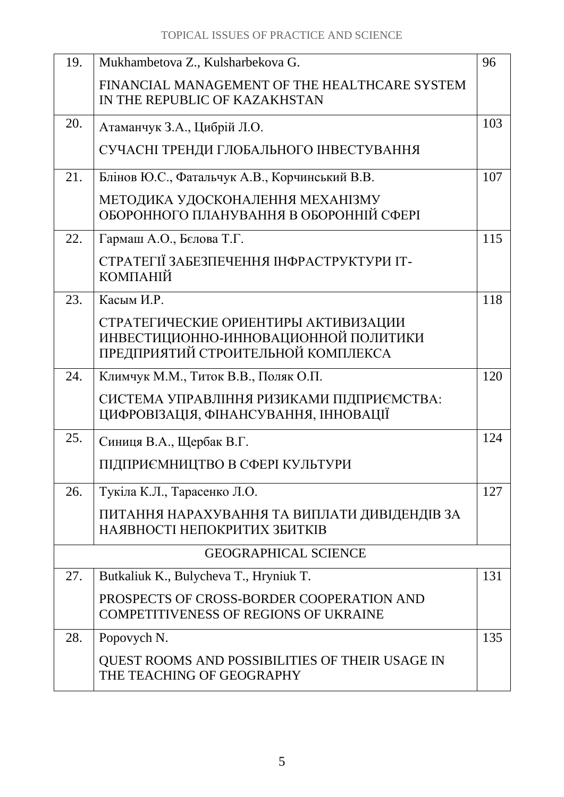| 19. | Mukhambetova Z., Kulsharbekova G.                                                                                  | 96  |
|-----|--------------------------------------------------------------------------------------------------------------------|-----|
|     | FINANCIAL MANAGEMENT OF THE HEALTHCARE SYSTEM                                                                      |     |
|     | IN THE REPUBLIC OF KAZAKHSTAN                                                                                      |     |
| 20. | Атаманчук З.А., Цибрій Л.О.                                                                                        | 103 |
|     | СУЧАСНІ ТРЕНДИ ГЛОБАЛЬНОГО ІНВЕСТУВАННЯ                                                                            |     |
| 21. | Блінов Ю.С., Фатальчук А.В., Корчинський В.В.                                                                      | 107 |
|     | МЕТОДИКА УДОСКОНАЛЕННЯ МЕХАНІЗМУ<br>ОБОРОННОГО ПЛАНУВАННЯ В ОБОРОННІЙ СФЕРІ                                        |     |
| 22. | Гармаш А.О., Белова Т.Г.                                                                                           | 115 |
|     | СТРАТЕГІЇ ЗАБЕЗПЕЧЕННЯ ІНФРАСТРУКТУРИ ІТ-<br>КОМПАНІЙ                                                              |     |
| 23. | Касым И.Р.                                                                                                         | 118 |
|     | СТРАТЕГИЧЕСКИЕ ОРИЕНТИРЫ АКТИВИЗАЦИИ<br>ИНВЕСТИЦИОННО-ИННОВАЦИОННОЙ ПОЛИТИКИ<br>ПРЕДПРИЯТИЙ СТРОИТЕЛЬНОЙ КОМПЛЕКСА |     |
| 24. | Климчук М.М., Титок В.В., Поляк О.П.                                                                               | 120 |
|     | СИСТЕМА УПРАВЛІННЯ РИЗИКАМИ ПІДПРИЄМСТВА:<br>ЦИФРОВІЗАЦІЯ, ФІНАНСУВАННЯ, ІННОВАЦІЇ                                 |     |
| 25. | Синиця В.А., Щербак В.Г.                                                                                           | 124 |
|     | ПІДПРИЄМНИЦТВО В СФЕРІ КУЛЬТУРИ                                                                                    |     |
| 26. | Тукіла К.Л., Тарасенко Л.О.                                                                                        | 127 |
|     | ПИТАННЯ НАРАХУВАННЯ ТА ВИПЛАТИ ДИВІДЕНДІВ ЗА<br>НАЯВНОСТІ НЕПОКРИТИХ ЗБИТКІВ                                       |     |
|     | <b>GEOGRAPHICAL SCIENCE</b>                                                                                        |     |
| 27. | Butkaliuk K., Bulycheva T., Hryniuk T.                                                                             | 131 |
|     | PROSPECTS OF CROSS-BORDER COOPERATION AND<br><b>COMPETITIVENESS OF REGIONS OF UKRAINE</b>                          |     |
| 28. | Popovych N.                                                                                                        | 135 |
|     | QUEST ROOMS AND POSSIBILITIES OF THEIR USAGE IN<br>THE TEACHING OF GEOGRAPHY                                       |     |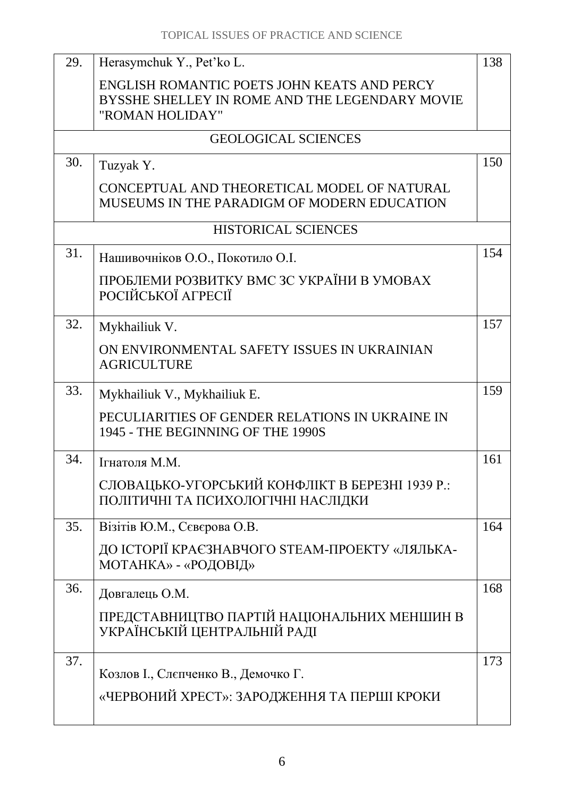| 29. | Herasymchuk Y., Pet'ko L.                                                                  | 138 |
|-----|--------------------------------------------------------------------------------------------|-----|
|     | ENGLISH ROMANTIC POETS JOHN KEATS AND PERCY                                                |     |
|     | BYSSHE SHELLEY IN ROME AND THE LEGENDARY MOVIE<br>"ROMAN HOLIDAY"                          |     |
|     | <b>GEOLOGICAL SCIENCES</b>                                                                 |     |
| 30. | Tuzyak Y.                                                                                  | 150 |
|     | CONCEPTUAL AND THEORETICAL MODEL OF NATURAL<br>MUSEUMS IN THE PARADIGM OF MODERN EDUCATION |     |
|     | <b>HISTORICAL SCIENCES</b>                                                                 |     |
| 31. | Нашивочніков О.О., Покотило О.І.                                                           | 154 |
|     | ПРОБЛЕМИ РОЗВИТКУ ВМС ЗС УКРАЇНИ В УМОВАХ<br>РОСІЙСЬКОЇ АГРЕСІЇ                            |     |
| 32. | Mykhailiuk V.                                                                              | 157 |
|     | ON ENVIRONMENTAL SAFETY ISSUES IN UKRAINIAN<br><b>AGRICULTURE</b>                          |     |
| 33. | Mykhailiuk V., Mykhailiuk E.                                                               | 159 |
|     | PECULIARITIES OF GENDER RELATIONS IN UKRAINE IN<br>1945 - THE BEGINNING OF THE 1990S       |     |
| 34. | Ігнатоля М.М.                                                                              | 161 |
|     | СЛОВАЦЬКО-УГОРСЬКИЙ КОНФЛІКТ В БЕРЕЗНІ 1939 Р.:<br>ПОЛІТИЧНІ ТА ПСИХОЛОГІЧНІ НАСЛІДКИ      |     |
| 35. | Візітів Ю.М., Сєвєрова О.В.                                                                | 164 |
|     | ДО ІСТОРІЇ КРАЄЗНАВЧОГО STEAM-ПРОЕКТУ «ЛЯЛЬКА-<br>МОТАНКА» - «РОДОВІД»                     |     |
| 36. | Довгалець О.М.                                                                             | 168 |
|     | ПРЕДСТАВНИЦТВО ПАРТІЙ НАЦІОНАЛЬНИХ МЕНШИН В<br>УКРАЇНСЬКІЙ ЦЕНТРАЛЬНІЙ РАДІ                |     |
| 37. | Козлов I., Слєпченко В., Демочко Г.                                                        | 173 |
|     | «ЧЕРВОНИЙ ХРЕСТ»: ЗАРОДЖЕННЯ ТА ПЕРШІ КРОКИ                                                |     |
|     |                                                                                            |     |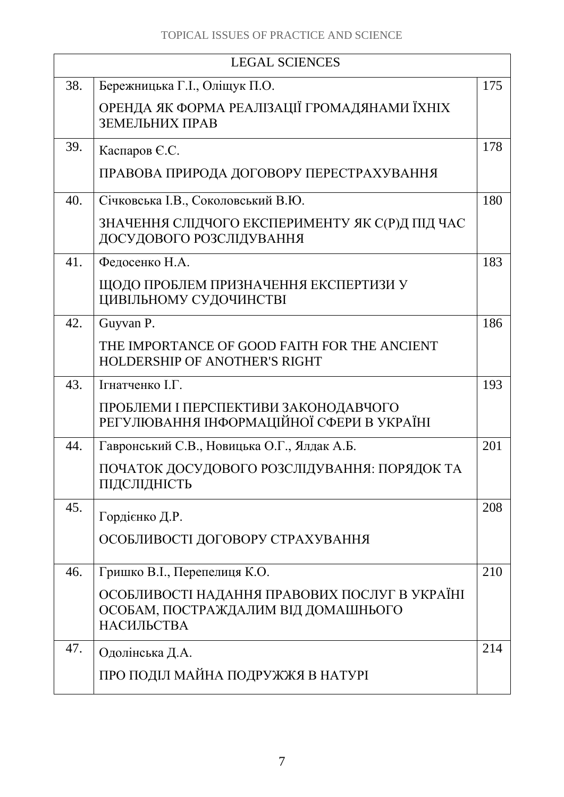| <b>LEGAL SCIENCES</b> |                                                                                                    |     |
|-----------------------|----------------------------------------------------------------------------------------------------|-----|
| 38.                   | Бережницька Г.І., Оліщук П.О.                                                                      | 175 |
|                       | ОРЕНДА ЯК ФОРМА РЕАЛІЗАЦІЇ ГРОМАДЯНАМИ ЇХНІХ<br>ЗЕМЕЛЬНИХ ПРАВ                                     |     |
| 39.                   | Каспаров Є.С.                                                                                      | 178 |
|                       | ПРАВОВА ПРИРОДА ДОГОВОРУ ПЕРЕСТРАХУВАННЯ                                                           |     |
| 40.                   | Січковська І.В., Соколовський В.Ю.                                                                 | 180 |
|                       | ЗНАЧЕННЯ СЛІДЧОГО ЕКСПЕРИМЕНТУ ЯК С(Р)Д ПІД ЧАС<br>ДОСУДОВОГО РОЗСЛІДУВАННЯ                        |     |
| 41.                   | Федосенко Н.А.                                                                                     | 183 |
|                       | ЩОДО ПРОБЛЕМ ПРИЗНАЧЕННЯ ЕКСПЕРТИЗИ У<br>ЦИВІЛЬНОМУ СУДОЧИНСТВІ                                    |     |
| 42.                   | Guyvan P.                                                                                          | 186 |
|                       | THE IMPORTANCE OF GOOD FAITH FOR THE ANCIENT<br><b>HOLDERSHIP OF ANOTHER'S RIGHT</b>               |     |
| 43.                   | Ігнатченко І.Г.                                                                                    | 193 |
|                       | ПРОБЛЕМИ І ПЕРСПЕКТИВИ ЗАКОНОДАВЧОГО<br>РЕГУЛЮВАННЯ ІНФОРМАЦІЙНОЇ СФЕРИ В УКРАЇНІ                  |     |
| 44.                   | Гавронський С.В., Новицька О.Г., Ялдак А.Б.                                                        | 201 |
|                       | ПОЧАТОК ДОСУДОВОГО РОЗСЛІДУВАННЯ: ПОРЯДОК ТА<br>ПІДСЛІДНІСТЬ                                       |     |
| 45.                   | Гордієнко Д.Р.                                                                                     | 208 |
|                       | ОСОБЛИВОСТІ ДОГОВОРУ СТРАХУВАННЯ                                                                   |     |
| 46.                   | Гришко В.І., Перепелиця К.О.                                                                       | 210 |
|                       | ОСОБЛИВОСТІ НАДАННЯ ПРАВОВИХ ПОСЛУГ В УКРАЇНІ<br>ОСОБАМ, ПОСТРАЖДАЛИМ ВІД ДОМАШНЬОГО<br>НАСИЛЬСТВА |     |
| 47.                   | Одолінська Д.А.                                                                                    | 214 |
|                       | ПРО ПОДІЛ МАЙНА ПОДРУЖЖЯ В НАТУРІ                                                                  |     |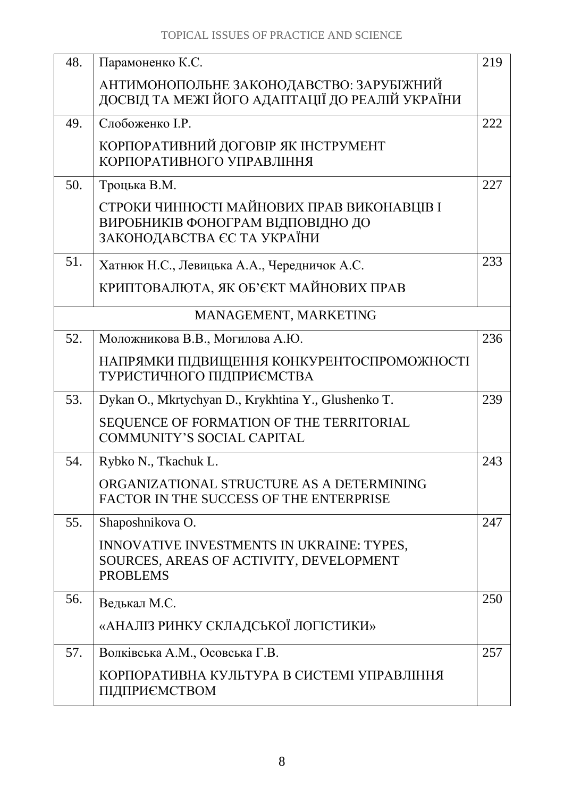| 48. | Парамоненко К.С.                                    | 219 |
|-----|-----------------------------------------------------|-----|
|     | АНТИМОНОПОЛЬНЕ ЗАКОНОДАВСТВО: ЗАРУБІЖНИЙ            |     |
|     | ДОСВІД ТА МЕЖІ ЙОГО АДАПТАЦІЇ ДО РЕАЛІЙ УКРАЇНИ     |     |
| 49. | Слобоженко І.Р.                                     | 222 |
|     | КОРПОРАТИВНИЙ ДОГОВІР ЯК ІНСТРУМЕНТ                 |     |
|     | КОРПОРАТИВНОГО УПРАВЛІННЯ                           |     |
| 50. | Троцька В.М.                                        | 227 |
|     | СТРОКИ ЧИННОСТІ МАЙНОВИХ ПРАВ ВИКОНАВЦІВ І          |     |
|     | ВИРОБНИКІВ ФОНОГРАМ ВІДПОВІДНО ДО                   |     |
|     | ЗАКОНОДАВСТВА ЄС ТА УКРАЇНИ                         |     |
| 51. | Хатнюк Н.С., Левицька А.А., Чередничок А.С.         | 233 |
|     | КРИПТОВАЛЮТА, ЯК ОБ'ЄКТ МАЙНОВИХ ПРАВ               |     |
|     | MANAGEMENT, MARKETING                               |     |
| 52. | Моложникова В.В., Могилова А.Ю.                     | 236 |
|     | НАПРЯМКИ ПІДВИЩЕННЯ КОНКУРЕНТОСПРОМОЖНОСТІ          |     |
|     | ТУРИСТИЧНОГО ПІДПРИЄМСТВА                           |     |
| 53. | Dykan O., Mkrtychyan D., Krykhtina Y., Glushenko T. | 239 |
|     | SEQUENCE OF FORMATION OF THE TERRITORIAL            |     |
|     | <b>COMMUNITY'S SOCIAL CAPITAL</b>                   |     |
| 54. | Rybko N., Tkachuk L.                                | 243 |
|     | ORGANIZATIONAL STRUCTURE AS A DETERMINING           |     |
|     | FACTOR IN THE SUCCESS OF THE ENTERPRISE             |     |
| 55. | Shaposhnikova O.                                    | 247 |
|     | INNOVATIVE INVESTMENTS IN UKRAINE: TYPES,           |     |
|     | SOURCES, AREAS OF ACTIVITY, DEVELOPMENT             |     |
|     | <b>PROBLEMS</b>                                     |     |
| 56. | Ведькал М.С.                                        | 250 |
|     | «АНАЛІЗ РИНКУ СКЛАДСЬКОЇ ЛОГІСТИКИ»                 |     |
| 57. | Волківська А.М., Осовська Г.В.                      | 257 |
|     | КОРПОРАТИВНА КУЛЬТУРА В СИСТЕМІ УПРАВЛІННЯ          |     |
|     | ПІДПРИЄМСТВОМ                                       |     |
|     |                                                     |     |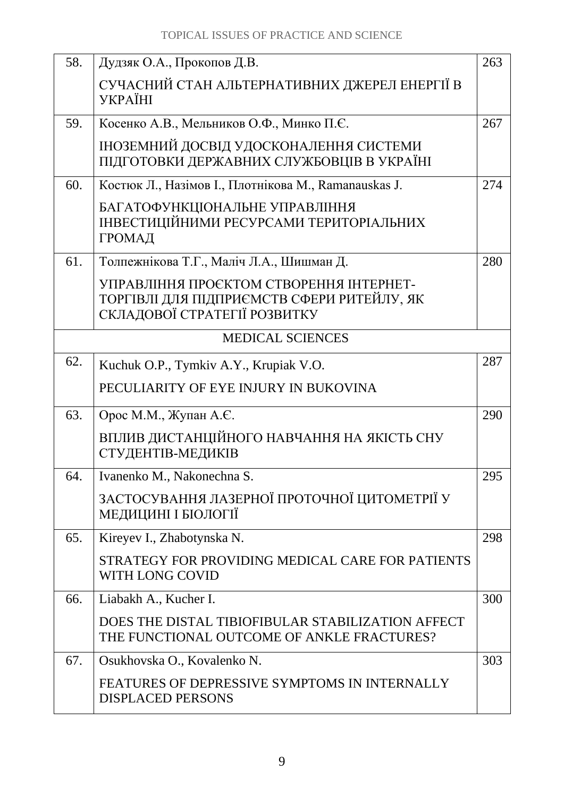| 58. | Дудзяк О.А., Прокопов Д.В.                                                                                            | 263 |
|-----|-----------------------------------------------------------------------------------------------------------------------|-----|
|     | СУЧАСНИЙ СТАН АЛЬТЕРНАТИВНИХ ДЖЕРЕЛ ЕНЕРГІЇ В<br><b>YKPAÏHI</b>                                                       |     |
| 59. | Косенко А.В., Мельников О.Ф., Минко П.С.                                                                              | 267 |
|     | ІНОЗЕМНИЙ ДОСВІД УДОСКОНАЛЕННЯ СИСТЕМИ<br>ПІДГОТОВКИ ДЕРЖАВНИХ СЛУЖБОВЦІВ В УКРАЇНІ                                   |     |
| 60. | Костюк Л., Назімов І., Плотнікова М., Ramanauskas J.                                                                  | 274 |
|     | БАГАТОФУНКЦІОНАЛЬНЕ УПРАВЛІННЯ<br>ІНВЕСТИЦІЙНИМИ РЕСУРСАМИ ТЕРИТОРІАЛЬНИХ<br>ГРОМАД                                   |     |
| 61. | Толпежнікова Т.Г., Маліч Л.А., Шишман Д.                                                                              | 280 |
|     | УПРАВЛІННЯ ПРОЄКТОМ СТВОРЕННЯ ІНТЕРНЕТ-<br>ТОРГІВЛІ ДЛЯ ПІДПРИЄМСТВ СФЕРИ РИТЕЙЛУ, ЯК<br>СКЛАДОВОЇ СТРАТЕГІЇ РОЗВИТКУ |     |
|     | <b>MEDICAL SCIENCES</b>                                                                                               |     |
| 62. | Kuchuk O.P., Tymkiv A.Y., Krupiak V.O.                                                                                | 287 |
|     | PECULIARITY OF EYE INJURY IN BUKOVINA                                                                                 |     |
| 63. | Орос М.М., Жупан А.Є.                                                                                                 | 290 |
|     | ВПЛИВ ДИСТАНЦІЙНОГО НАВЧАННЯ НА ЯКІСТЬ СНУ<br>СТУДЕНТІВ-МЕДИКІВ                                                       |     |
| 64. | Ivanenko M., Nakonechna S.                                                                                            | 295 |
|     | ЗАСТОСУВАННЯ ЛАЗЕРНОЇ ПРОТОЧНОЇ ЦИТОМЕТРІЇ У<br>МЕДИЦИНІ І БІОЛОГІЇ                                                   |     |
| 65. | Kireyev I., Zhabotynska N.                                                                                            | 298 |
|     | STRATEGY FOR PROVIDING MEDICAL CARE FOR PATIENTS<br>WITH LONG COVID                                                   |     |
| 66. | Liabakh A., Kucher I.                                                                                                 | 300 |
|     | DOES THE DISTAL TIBIOFIBULAR STABILIZATION AFFECT<br>THE FUNCTIONAL OUTCOME OF ANKLE FRACTURES?                       |     |
| 67. | Osukhovska O., Kovalenko N.                                                                                           | 303 |
|     | FEATURES OF DEPRESSIVE SYMPTOMS IN INTERNALLY<br><b>DISPLACED PERSONS</b>                                             |     |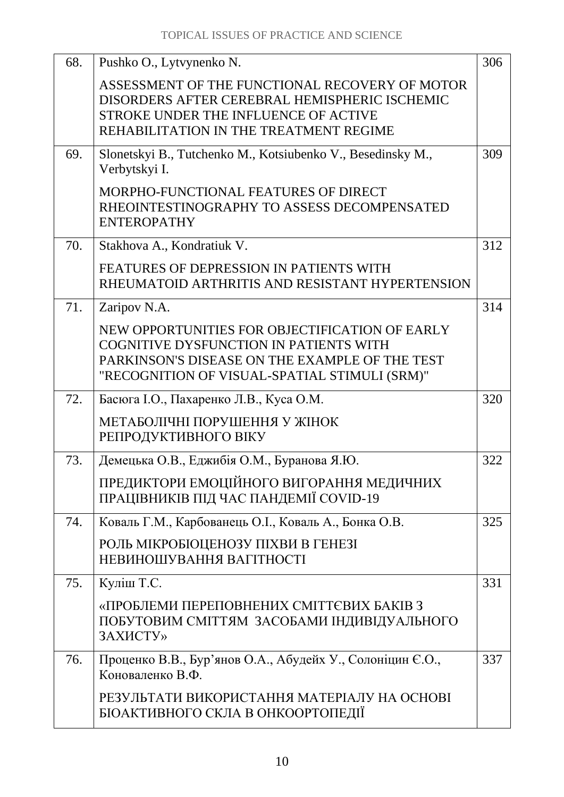| 68. | Pushko O., Lytvynenko N.                                                                                                                                                                    | 306 |
|-----|---------------------------------------------------------------------------------------------------------------------------------------------------------------------------------------------|-----|
|     | ASSESSMENT OF THE FUNCTIONAL RECOVERY OF MOTOR<br>DISORDERS AFTER CEREBRAL HEMISPHERIC ISCHEMIC<br>STROKE UNDER THE INFLUENCE OF ACTIVE<br>REHABILITATION IN THE TREATMENT REGIME           |     |
| 69. | Slonetskyi B., Tutchenko M., Kotsiubenko V., Besedinsky M.,<br>Verbytskyi I.                                                                                                                | 309 |
|     | MORPHO-FUNCTIONAL FEATURES OF DIRECT<br>RHEOINTESTINOGRAPHY TO ASSESS DECOMPENSATED<br><b>ENTEROPATHY</b>                                                                                   |     |
| 70. | Stakhova A., Kondratiuk V.                                                                                                                                                                  | 312 |
|     | <b>FEATURES OF DEPRESSION IN PATIENTS WITH</b><br>RHEUMATOID ARTHRITIS AND RESISTANT HYPERTENSION                                                                                           |     |
| 71. | Zaripov N.A.                                                                                                                                                                                | 314 |
|     | NEW OPPORTUNITIES FOR OBJECTIFICATION OF EARLY<br>COGNITIVE DYSFUNCTION IN PATIENTS WITH<br>PARKINSON'S DISEASE ON THE EXAMPLE OF THE TEST<br>"RECOGNITION OF VISUAL-SPATIAL STIMULI (SRM)" |     |
| 72. | Басюга І.О., Пахаренко Л.В., Куса О.М.                                                                                                                                                      | 320 |
|     | МЕТАБОЛІЧНІ ПОРУШЕННЯ У ЖІНОК<br>РЕПРОДУКТИВНОГО ВІКУ                                                                                                                                       |     |
| 73. | Демецька О.В., Еджибія О.М., Буранова Я.Ю.                                                                                                                                                  | 322 |
|     | ПРЕДИКТОРИ ЕМОЦІЙНОГО ВИГОРАННЯ МЕДИЧНИХ<br>ПРАЦІВНИКІВ ПІД ЧАС ПАНДЕМІЇ COVID-19                                                                                                           |     |
| 74. | Коваль Г.М., Карбованець О.І., Коваль А., Бонка О.В.                                                                                                                                        | 325 |
|     | РОЛЬ МІКРОБІОЦЕНОЗУ ПІХВИ В ГЕНЕЗІ<br>НЕВИНОШУВАННЯ ВАГІТНОСТІ                                                                                                                              |     |
| 75. | Куліш Т.С.                                                                                                                                                                                  | 331 |
|     | «ПРОБЛЕМИ ПЕРЕПОВНЕНИХ СМІТТЄВИХ БАКІВ З<br>ПОБУТОВИМ СМІТТЯМ ЗАСОБАМИ ІНДИВІДУАЛЬНОГО<br>ЗАХИСТУ»                                                                                          |     |
| 76. | Проценко В.В., Бур'янов О.А., Абудейх У., Солоніцин Є.О.,<br>Коноваленко В.Ф.                                                                                                               | 337 |
|     | РЕЗУЛЬТАТИ ВИКОРИСТАННЯ МАТЕРІАЛУ НА ОСНОВІ<br>БІОАКТИВНОГО СКЛА В ОНКООРТОПЕДІЇ                                                                                                            |     |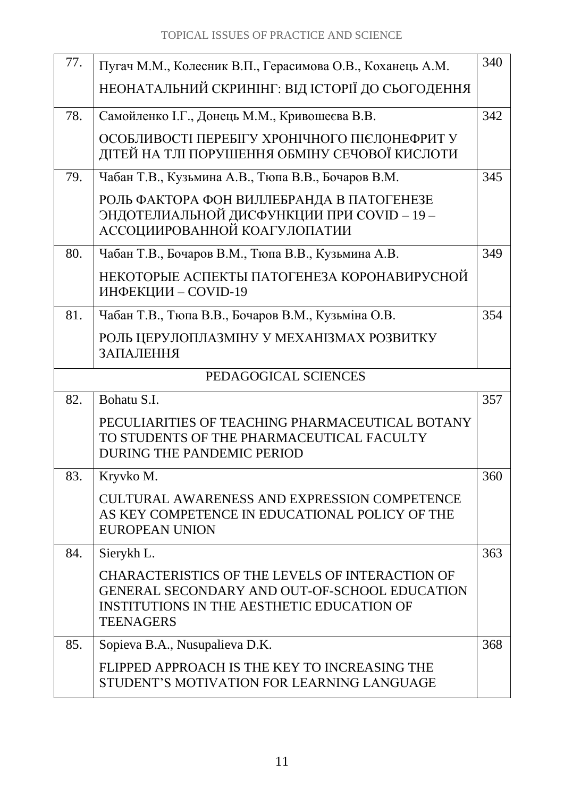| 77.                  | Пугач М.М., Колесник В.П., Герасимова О.В., Коханець А.М.                                                                                                                        | 340 |
|----------------------|----------------------------------------------------------------------------------------------------------------------------------------------------------------------------------|-----|
|                      | НЕОНАТАЛЬНИЙ СКРИНІНГ: ВІД ІСТОРІЇ ДО СЬОГОДЕННЯ                                                                                                                                 |     |
| 78.                  | Самойленко І.Г., Донець М.М., Кривошеєва В.В.                                                                                                                                    | 342 |
|                      | ОСОБЛИВОСТІ ПЕРЕБІГУ ХРОНІЧНОГО ПІЄЛОНЕФРИТ У<br>ДІТЕЙ НА ТЛІ ПОРУШЕННЯ ОБМІНУ СЕЧОВОЇ КИСЛОТИ                                                                                   |     |
| 79.                  | Чабан Т.В., Кузьмина А.В., Тюпа В.В., Бочаров В.М.                                                                                                                               | 345 |
|                      | РОЛЬ ФАКТОРА ФОН ВИЛЛЕБРАНДА В ПАТОГЕНЕЗЕ<br>ЭНДОТЕЛИАЛЬНОЙ ДИСФУНКЦИИ ПРИ COVID - 19 -<br>АССОЦИИРОВАННОЙ КОАГУЛОПАТИИ                                                          |     |
| 80.                  | Чабан Т.В., Бочаров В.М., Тюпа В.В., Кузьмина А.В.                                                                                                                               | 349 |
|                      | НЕКОТОРЫЕ АСПЕКТЫ ПАТОГЕНЕЗА КОРОНАВИРУСНОЙ<br>ИНФЕКЦИИ - COVID-19                                                                                                               |     |
| 81.                  | Чабан Т.В., Тюпа В.В., Бочаров В.М., Кузьміна О.В.                                                                                                                               | 354 |
|                      | РОЛЬ ЦЕРУЛОПЛАЗМІНУ У МЕХАНІЗМАХ РОЗВИТКУ<br>ЗАПАЛЕННЯ                                                                                                                           |     |
| PEDAGOGICAL SCIENCES |                                                                                                                                                                                  |     |
|                      |                                                                                                                                                                                  |     |
| 82.                  | Bohatu S.I.                                                                                                                                                                      | 357 |
|                      | PECULIARITIES OF TEACHING PHARMACEUTICAL BOTANY<br>TO STUDENTS OF THE PHARMACEUTICAL FACULTY<br><b>DURING THE PANDEMIC PERIOD</b>                                                |     |
| 83.                  | Kryvko M.                                                                                                                                                                        | 360 |
|                      | <b>CULTURAL AWARENESS AND EXPRESSION COMPETENCE</b><br>AS KEY COMPETENCE IN EDUCATIONAL POLICY OF THE<br><b>EUROPEAN UNION</b>                                                   |     |
| 84.                  | Sierykh L.                                                                                                                                                                       | 363 |
|                      | <b>CHARACTERISTICS OF THE LEVELS OF INTERACTION OF</b><br>GENERAL SECONDARY AND OUT-OF-SCHOOL EDUCATION<br><b>INSTITUTIONS IN THE AESTHETIC EDUCATION OF</b><br><b>TEENAGERS</b> |     |
| 85.                  | Sopieva B.A., Nusupalieva D.K.                                                                                                                                                   | 368 |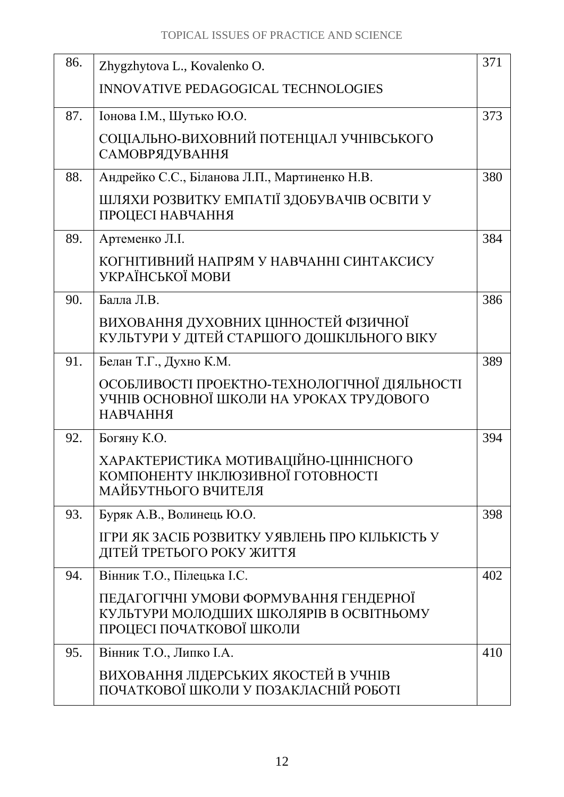| 86. | Zhygzhytova L., Kovalenko O.                                                                                  | 371 |
|-----|---------------------------------------------------------------------------------------------------------------|-----|
|     | <b>INNOVATIVE PEDAGOGICAL TECHNOLOGIES</b>                                                                    |     |
| 87. | Іонова І.М., Шутько Ю.О.                                                                                      | 373 |
|     | СОЦІАЛЬНО-ВИХОВНИЙ ПОТЕНЦІАЛ УЧНІВСЬКОГО<br>САМОВРЯДУВАННЯ                                                    |     |
| 88. | Андрейко С.С., Біланова Л.П., Мартиненко Н.В.                                                                 | 380 |
|     | ШЛЯХИ РОЗВИТКУ ЕМПАТІЇ ЗДОБУВАЧІВ ОСВІТИ У<br>ПРОЦЕСІ НАВЧАННЯ                                                |     |
| 89. | Артеменко Л.І.                                                                                                | 384 |
|     | КОГНІТИВНИЙ НАПРЯМ У НАВЧАННІ СИНТАКСИСУ<br>УКРАЇНСЬКОЇ МОВИ                                                  |     |
| 90. | Балла Л.В.                                                                                                    | 386 |
|     | ВИХОВАННЯ ДУХОВНИХ ЦІННОСТЕЙ ФІЗИЧНОЇ<br>КУЛЬТУРИ У ДІТЕЙ СТАРШОГО ДОШКІЛЬНОГО ВІКУ                           |     |
| 91. | Белан Т.Г., Духно К.М.                                                                                        | 389 |
|     | ОСОБЛИВОСТІ ПРОЕКТНО-ТЕХНОЛОГІЧНОЇ ДІЯЛЬНОСТІ<br>УЧНІВ ОСНОВНОЇ ШКОЛИ НА УРОКАХ ТРУДОВОГО<br><b>НАВЧАННЯ</b>  |     |
| 92. | Богяну К.О.                                                                                                   | 394 |
|     | ХАРАКТЕРИСТИКА МОТИВАЦІЙНО-ЦІННІСНОГО<br>КОМПОНЕНТУ ІНКЛЮЗИВНОЇ ГОТОВНОСТІ<br>МАЙБУТНЬОГО ВЧИТЕЛЯ             |     |
| 93. | Буряк А.В., Волинець Ю.О.                                                                                     | 398 |
|     | ІГРИ ЯК ЗАСІБ РОЗВИТКУ УЯВЛЕНЬ ПРО КІЛЬКІСТЬ У<br>ДІТЕЙ ТРЕТЬОГО РОКУ ЖИТТЯ                                   |     |
| 94. | Вінник Т.О., Пілецька І.С.                                                                                    | 402 |
|     | ПЕДАГОГІЧНІ УМОВИ ФОРМУВАННЯ ГЕНДЕРНОЇ<br>КУЛЬТУРИ МОЛОДШИХ ШКОЛЯРІВ В ОСВІТНЬОМУ<br>ПРОЦЕСІ ПОЧАТКОВОЇ ШКОЛИ |     |
| 95. | Вінник Т.О., Липко І.А.                                                                                       | 410 |
|     | ВИХОВАННЯ ЛІДЕРСЬКИХ ЯКОСТЕЙ В УЧНІВ<br>ПОЧАТКОВОЇ ШКОЛИ У ПОЗАКЛАСНІЙ РОБОТІ                                 |     |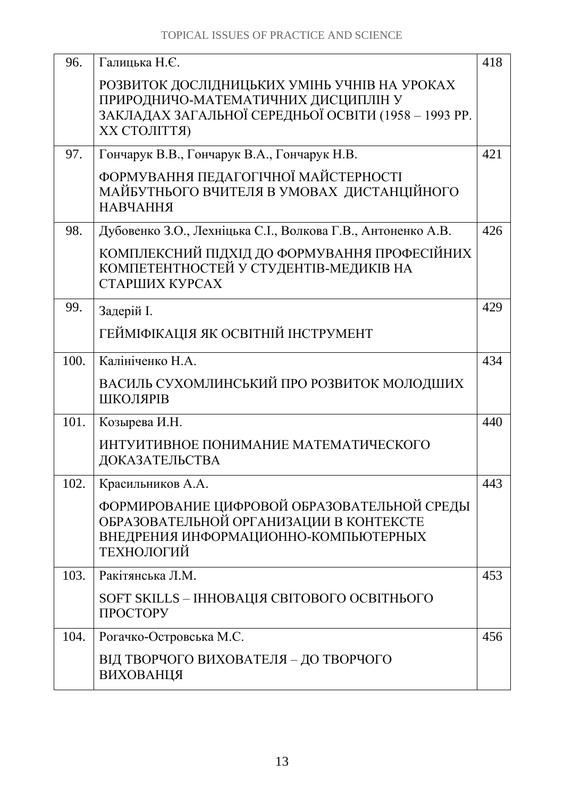| 96.  | Галицька Н.Є.                                                                                                                                                      | 418 |
|------|--------------------------------------------------------------------------------------------------------------------------------------------------------------------|-----|
|      | РОЗВИТОК ДОСЛІДНИЦЬКИХ УМІНЬ УЧНІВ НА УРОКАХ<br>ПРИРОДНИЧО-МАТЕМАТИЧНИХ ДИСЦИПЛІН У<br>ЗАКЛАДАХ ЗАГАЛЬНОЇ СЕРЕДНЬОЇ ОСВІТИ (1958 - 1993 РР.<br><b>XX СТОЛІТТЯ)</b> |     |
| 97.  | Гончарук В.В., Гончарук В.А., Гончарук Н.В.                                                                                                                        | 421 |
|      | ФОРМУВАННЯ ПЕДАГОГІЧНОЇ МАЙСТЕРНОСТІ<br>МАЙБУТНЬОГО ВЧИТЕЛЯ В УМОВАХ ДИСТАНЦІЙНОГО<br><b>НАВЧАННЯ</b>                                                              |     |
| 98.  | Дубовенко З.О., Лехніцька С.І., Волкова Г.В., Антоненко А.В.                                                                                                       | 426 |
|      | КОМПЛЕКСНИЙ ПІДХІД ДО ФОРМУВАННЯ ПРОФЕСІЙНИХ<br>КОМПЕТЕНТНОСТЕЙ У СТУДЕНТІВ-МЕДИКІВ НА<br>СТАРШИХ КУРСАХ                                                           |     |
| 99.  | Задерій I.                                                                                                                                                         | 429 |
|      | ГЕЙМІФІКАЦІЯ ЯК ОСВІТНІЙ ІНСТРУМЕНТ                                                                                                                                |     |
| 100. | Калініченко Н.А.                                                                                                                                                   | 434 |
|      | ВАСИЛЬ СУХОМЛИНСЬКИЙ ПРО РОЗВИТОК МОЛОДШИХ<br>ШКОЛЯРІВ                                                                                                             |     |
| 101. | Козырева И.Н.                                                                                                                                                      | 440 |
|      | ИНТУИТИВНОЕ ПОНИМАНИЕ МАТЕМАТИЧЕСКОГО<br>ДОКАЗАТЕЛЬСТВА                                                                                                            |     |
| 102. | Красильников А.А.                                                                                                                                                  | 443 |
|      | ФОРМИРОВАНИЕ ЦИФРОВОЙ ОБРАЗОВАТЕЛЬНОЙ СРЕДЫ<br>ОБРАЗОВАТЕЛЬНОЙ ОРГАНИЗАЦИИ В КОНТЕКСТЕ<br>ВНЕДРЕНИЯ ИНФОРМАЦИОННО-КОМПЬЮТЕРНЫХ<br>ТЕХНОЛОГИЙ                       |     |
| 103. | Ракітянська Л.М.                                                                                                                                                   | 453 |
|      | SOFT SKILLS - ІННОВАЦІЯ СВІТОВОГО ОСВІТНЬОГО<br>ПРОСТОРУ                                                                                                           |     |
| 104. | Рогачко-Островська М.С.                                                                                                                                            | 456 |
|      | ВІД ТВОРЧОГО ВИХОВАТЕЛЯ - ДО ТВОРЧОГО<br>ВИХОВАНЦЯ                                                                                                                 |     |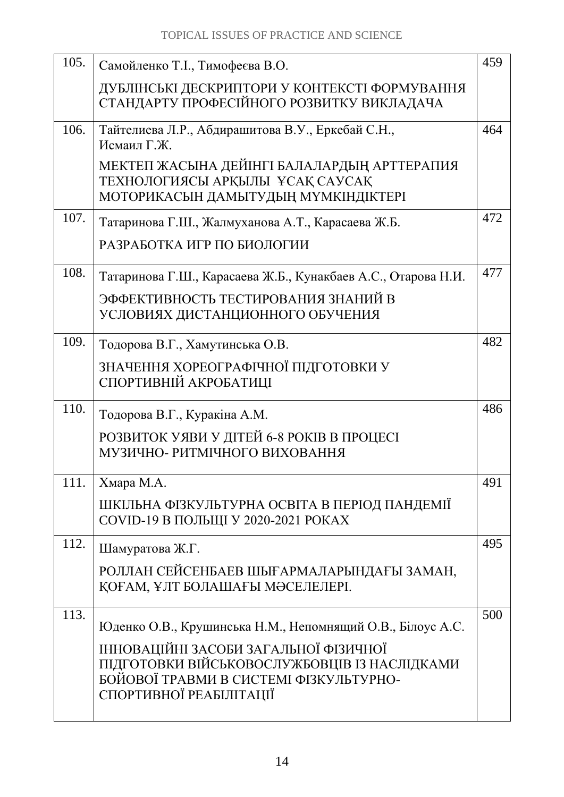| 105. | Самойленко Т.І., Тимофеєва В.О.                                                                                                                     | 459 |
|------|-----------------------------------------------------------------------------------------------------------------------------------------------------|-----|
|      | ДУБЛІНСЬКІ ДЕСКРИПТОРИ У КОНТЕКСТІ ФОРМУВАННЯ<br>СТАНДАРТУ ПРОФЕСІЙНОГО РОЗВИТКУ ВИКЛАДАЧА                                                          |     |
| 106. | Тайтелиева Л.Р., Абдирашитова В.У., Еркебай С.Н.,<br>Исмаил Г.Ж.                                                                                    | 464 |
|      | МЕКТЕП ЖАСЫНА ДЕЙІНГІ БАЛАЛАРДЫҢ АРТТЕРАПИЯ<br>ТЕХНОЛОГИЯСЫ АРҚЫЛЫ ҰСАҚ САУСАҚ<br>МОТОРИКАСЫН ДАМЫТУДЫҢ МҮМКІНДІКТЕРІ                               |     |
| 107. | Татаринова Г.Ш., Жалмуханова А.Т., Карасаева Ж.Б.                                                                                                   | 472 |
|      | РАЗРАБОТКА ИГР ПО БИОЛОГИИ                                                                                                                          |     |
| 108. | Татаринова Г.Ш., Карасаева Ж.Б., Кунакбаев А.С., Отарова Н.И.                                                                                       | 477 |
|      | ЭФФЕКТИВНОСТЬ ТЕСТИРОВАНИЯ ЗНАНИЙ В<br>УСЛОВИЯХ ДИСТАНЦИОННОГО ОБУЧЕНИЯ                                                                             |     |
| 109. | Тодорова В.Г., Хамутинська О.В.                                                                                                                     | 482 |
|      | ЗНАЧЕННЯ ХОРЕОГРАФІЧНОЇ ПІДГОТОВКИ У<br>СПОРТИВНІЙ АКРОБАТИЦІ                                                                                       |     |
| 110. | Тодорова В.Г., Куракіна А.М.                                                                                                                        | 486 |
|      | РОЗВИТОК УЯВИ У ДІТЕЙ 6-8 РОКІВ В ПРОЦЕСІ<br>МУЗИЧНО- РИТМІЧНОГО ВИХОВАННЯ                                                                          |     |
| 111. | Хмара М.А.                                                                                                                                          | 491 |
|      | ШКІЛЬНА ФІЗКУЛЬТУРНА ОСВІТА В ПЕРІОД ПАНДЕМІЇ<br><b>COVID-19 В ПОЛЬЩІ У 2020-2021 РОКАХ</b>                                                         |     |
| 112. | Шамуратова Ж.Г.                                                                                                                                     | 495 |
|      | РОЛЛАН СЕЙСЕНБАЕВ ШЫҒАРМАЛАРЫНДАҒЫ ЗАМАН,<br>КОҒАМ, ҰЛТ БОЛАШАҒЫ МӘСЕЛЕЛЕРІ.                                                                        |     |
| 113. | Юденко О.В., Крушинська Н.М., Непомнящий О.В., Білоус А.С.<br>ІННОВАЦІЙНІ ЗАСОБИ ЗАГАЛЬНОЇ ФІЗИЧНОЇ<br>ПІДГОТОВКИ ВІЙСЬКОВОСЛУЖБОВЦІВ ІЗ НАСЛІДКАМИ | 500 |
|      | БОЙОВОЇ ТРАВМИ В СИСТЕМІ ФІЗКУЛЬТУРНО-<br>СПОРТИВНОЇ РЕАБІЛІТАЦІЇ                                                                                   |     |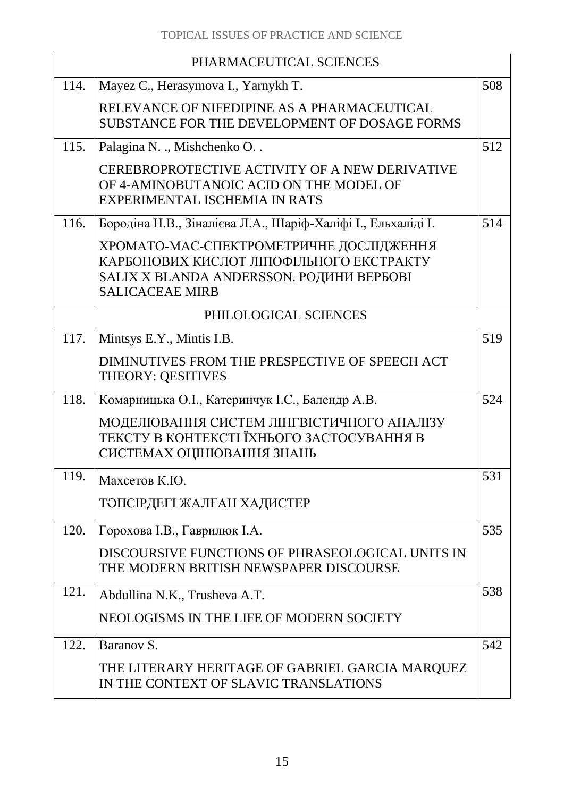| PHARMACEUTICAL SCIENCES |                                                                                                                                                           |     |
|-------------------------|-----------------------------------------------------------------------------------------------------------------------------------------------------------|-----|
| 114.                    | Mayez C., Herasymova I., Yarnykh T.                                                                                                                       | 508 |
|                         | RELEVANCE OF NIFEDIPINE AS A PHARMACEUTICAL<br>SUBSTANCE FOR THE DEVELOPMENT OF DOSAGE FORMS                                                              |     |
| 115.                    | Palagina N. ., Mishchenko O. .                                                                                                                            | 512 |
|                         | CEREBROPROTECTIVE ACTIVITY OF A NEW DERIVATIVE<br>OF 4-AMINOBUTANOIC ACID ON THE MODEL OF<br>EXPERIMENTAL ISCHEMIA IN RATS                                |     |
| 116.                    | Бородіна Н.В., Зіналієва Л.А., Шаріф-Халіфі I., Ельхаліді I.                                                                                              | 514 |
|                         | ХРОМАТО-МАС-СПЕКТРОМЕТРИЧНЕ ДОСЛІДЖЕННЯ<br>КАРБОНОВИХ КИСЛОТ ЛІПОФІЛЬНОГО ЕКСТРАКТУ<br>SALIX X BLANDA ANDERSSON. РОДИНИ ВЕРБОВІ<br><b>SALICACEAE MIRB</b> |     |
|                         | PHILOLOGICAL SCIENCES                                                                                                                                     |     |
| 117.                    | Mintsys E.Y., Mintis I.B.                                                                                                                                 | 519 |
|                         | DIMINUTIVES FROM THE PRESPECTIVE OF SPEECH ACT<br>THEORY: QESITIVES                                                                                       |     |
| 118.                    | Комарницька О.І., Катеринчук І.С., Балендр А.В.                                                                                                           | 524 |
|                         | МОДЕЛЮВАННЯ СИСТЕМ ЛІНГВІСТИЧНОГО АНАЛІЗУ<br>ТЕКСТУ В КОНТЕКСТІ ЇХНЬОГО ЗАСТОСУВАННЯ В<br>СИСТЕМАХ ОЦІНЮВАННЯ ЗНАНЬ                                       |     |
| 119.                    | Махсетов К.Ю.                                                                                                                                             | 531 |
|                         | ТӘПСІРДЕГІ ЖАЛҒАН ХАДИСТЕР                                                                                                                                |     |
| 120.                    | Горохова І.В., Гаврилюк І.А.                                                                                                                              | 535 |
|                         | DISCOURSIVE FUNCTIONS OF PHRASEOLOGICAL UNITS IN<br>THE MODERN BRITISH NEWSPAPER DISCOURSE                                                                |     |
| 121.                    | Abdullina N.K., Trusheva A.T.                                                                                                                             | 538 |
|                         | NEOLOGISMS IN THE LIFE OF MODERN SOCIETY                                                                                                                  |     |
| 122.                    | Baranov S.                                                                                                                                                | 542 |
|                         | THE LITERARY HERITAGE OF GABRIEL GARCIA MARQUEZ<br>IN THE CONTEXT OF SLAVIC TRANSLATIONS                                                                  |     |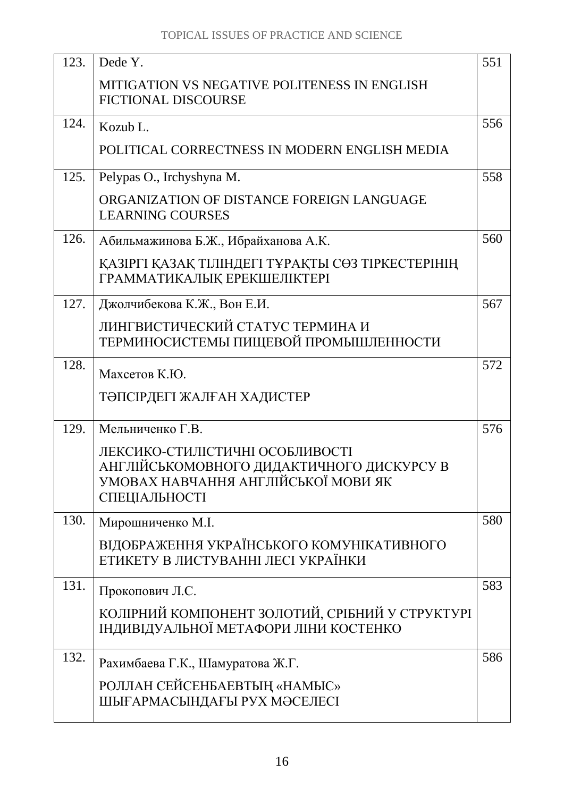| 123. | Dede Y.                                                                                                                              | 551 |
|------|--------------------------------------------------------------------------------------------------------------------------------------|-----|
|      | MITIGATION VS NEGATIVE POLITENESS IN ENGLISH<br><b>FICTIONAL DISCOURSE</b>                                                           |     |
| 124. | Kozub L.                                                                                                                             | 556 |
|      | POLITICAL CORRECTNESS IN MODERN ENGLISH MEDIA                                                                                        |     |
| 125. | Pelypas O., Irchyshyna M.                                                                                                            | 558 |
|      | ORGANIZATION OF DISTANCE FOREIGN LANGUAGE<br><b>LEARNING COURSES</b>                                                                 |     |
| 126. | Абильмажинова Б.Ж., Ибрайханова А.К.                                                                                                 | 560 |
|      | ҚАЗІРГІ ҚАЗАҚ ТІЛІНДЕГІ ТҰРАҚТЫ СӨЗ ТІРКЕСТЕРІНІҢ<br>ГРАММАТИКАЛЫҚ ЕРЕКШЕЛІКТЕРІ                                                     |     |
| 127. | Джолчибекова К.Ж., Вон Е.И.                                                                                                          | 567 |
|      | ЛИНГВИСТИЧЕСКИЙ СТАТУС ТЕРМИНА И<br>ТЕРМИНОСИСТЕМЫ ПИЩЕВОЙ ПРОМЫШЛЕННОСТИ                                                            |     |
| 128. | Махсетов К.Ю.                                                                                                                        | 572 |
|      | ТӘПСІРДЕГІ ЖАЛҒАН ХАДИСТЕР                                                                                                           |     |
| 129. | Мельниченко Г.В.                                                                                                                     | 576 |
|      | ЛЕКСИКО-СТИЛІСТИЧНІ ОСОБЛИВОСТІ<br>АНГЛІЙСЬКОМОВНОГО ДИДАКТИЧНОГО ДИСКУРСУ В<br>УМОВАХ НАВЧАННЯ АНГЛІЙСЬКОЇ МОВИ ЯК<br>СПЕЦІАЛЬНОСТІ |     |
| 130. | Мирошниченко М.І.                                                                                                                    | 580 |
|      | ВІДОБРАЖЕННЯ УКРАЇНСЬКОГО КОМУНІКАТИВНОГО<br>ЕТИКЕТУ В ЛИСТУВАННІ ЛЕСІ УКРАЇНКИ                                                      |     |
| 131. | Прокопович Л.С.                                                                                                                      | 583 |
|      | КОЛІРНИЙ КОМПОНЕНТ ЗОЛОТИЙ, СРІБНИЙ У СТРУКТУРІ<br>ІНДИВІДУАЛЬНОЇ МЕТАФОРИ ЛІНИ КОСТЕНКО                                             |     |
| 132. | Рахимбаева Г.К., Шамуратова Ж.Г.                                                                                                     | 586 |
|      | РОЛЛАН СЕЙСЕНБАЕВТЫҢ «НАМЫС»                                                                                                         |     |
|      | ШЫҒАРМАСЫНДАҒЫ РУХ МӘСЕЛЕСІ                                                                                                          |     |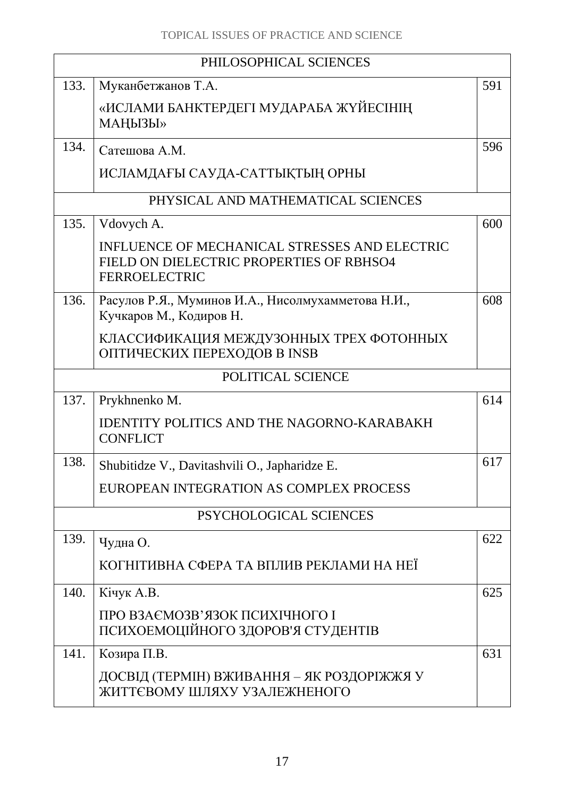|      | PHILOSOPHICAL SCIENCES                                                                                            |     |  |
|------|-------------------------------------------------------------------------------------------------------------------|-----|--|
| 133. | Муканбетжанов Т.А.                                                                                                | 591 |  |
|      | «ИСЛАМИ БАНКТЕРДЕГІ МУДАРАБА ЖҮЙЕСІНІҢ<br>МАҢЫЗЫ»                                                                 |     |  |
| 134. | Сатешова А.М.                                                                                                     | 596 |  |
|      | ИСЛАМДАҒЫ САУДА-САТТЫҚТЫҢ ОРНЫ                                                                                    |     |  |
|      | PHYSICAL AND MATHEMATICAL SCIENCES                                                                                |     |  |
| 135. | Vdovych A.                                                                                                        | 600 |  |
|      | INFLUENCE OF MECHANICAL STRESSES AND ELECTRIC<br>FIELD ON DIELECTRIC PROPERTIES OF RBHSO4<br><b>FERROELECTRIC</b> |     |  |
| 136. | Расулов Р.Я., Муминов И.А., Нисолмухамметова Н.И.,<br>Кучкаров М., Кодиров Н.                                     | 608 |  |
|      | КЛАССИФИКАЦИЯ МЕЖДУЗОННЫХ ТРЕХ ФОТОННЫХ<br>ОПТИЧЕСКИХ ПЕРЕХОДОВ В INSB                                            |     |  |
|      | POLITICAL SCIENCE                                                                                                 |     |  |
| 137. | Prykhnenko M.                                                                                                     | 614 |  |
|      | <b>IDENTITY POLITICS AND THE NAGORNO-KARABAKH</b><br><b>CONFLICT</b>                                              |     |  |
| 138. | Shubitidze V., Davitashvili O., Japharidze E.                                                                     | 617 |  |
|      | EUROPEAN INTEGRATION AS COMPLEX PROCESS                                                                           |     |  |
|      | PSYCHOLOGICAL SCIENCES                                                                                            |     |  |
| 139. | Чудна О.                                                                                                          | 622 |  |
|      | КОГНІТИВНА СФЕРА ТА ВПЛИВ РЕКЛАМИ НА НЕЇ                                                                          |     |  |
| 140. | Кічук А.В.                                                                                                        | 625 |  |
|      | ПРО ВЗАЄМОЗВ'ЯЗОК ПСИХІЧНОГО І<br>ПСИХОЕМОЦІЙНОГО ЗДОРОВ'Я СТУДЕНТІВ                                              |     |  |
| 141. | Козира П.В.                                                                                                       | 631 |  |
|      | ДОСВІД (ТЕРМІН) ВЖИВАННЯ – ЯК РОЗДОРІЖЖЯ У<br>ЖИТТЄВОМУ ШЛЯХУ УЗАЛЕЖНЕНОГО                                        |     |  |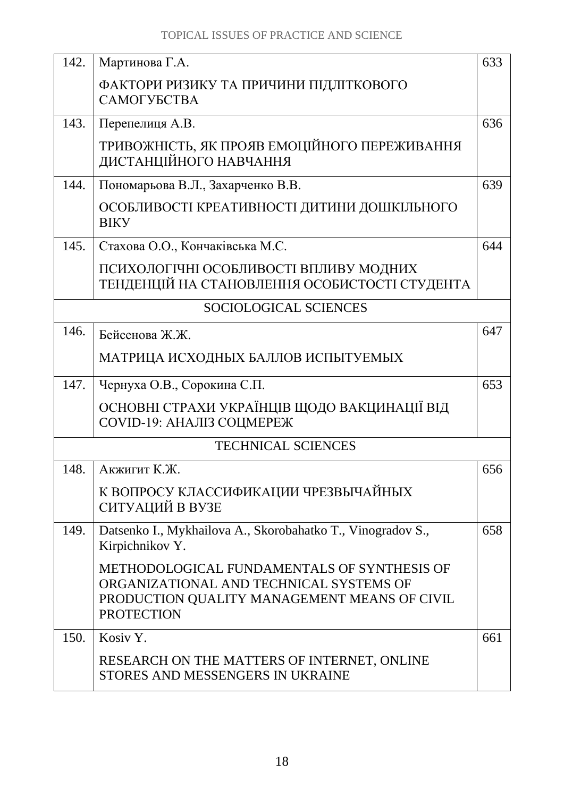| 142. | Мартинова Г.А.                                                                                                                                              | 633 |
|------|-------------------------------------------------------------------------------------------------------------------------------------------------------------|-----|
|      | ФАКТОРИ РИЗИКУ ТА ПРИЧИНИ ПІДЛІТКОВОГО<br>САМОГУБСТВА                                                                                                       |     |
| 143. | Перепелиця А.В.                                                                                                                                             | 636 |
|      | ТРИВОЖНІСТЬ, ЯК ПРОЯВ ЕМОЦІЙНОГО ПЕРЕЖИВАННЯ<br>ДИСТАНЦІЙНОГО НАВЧАННЯ                                                                                      |     |
| 144. | Пономарьова В.Л., Захарченко В.В.                                                                                                                           | 639 |
|      | ОСОБЛИВОСТІ КРЕАТИВНОСТІ ДИТИНИ ДОШКІЛЬНОГО<br><b>BIKY</b>                                                                                                  |     |
| 145. | Стахова О.О., Кончаківська М.С.                                                                                                                             | 644 |
|      | ПСИХОЛОГІЧНІ ОСОБЛИВОСТІ ВПЛИВУ МОДНИХ<br>ТЕНДЕНЦІЙ НА СТАНОВЛЕННЯ ОСОБИСТОСТІ СТУДЕНТА                                                                     |     |
|      | SOCIOLOGICAL SCIENCES                                                                                                                                       |     |
| 146. | Бейсенова Ж.Ж.                                                                                                                                              | 647 |
|      | МАТРИЦА ИСХОДНЫХ БАЛЛОВ ИСПЫТУЕМЫХ                                                                                                                          |     |
| 147. | Чернуха О.В., Сорокина С.П.                                                                                                                                 | 653 |
|      | ОСНОВНІ СТРАХИ УКРАЇНЦІВ ЩОДО ВАКЦИНАЦІЇ ВІД<br><b>COVID-19: АНАЛІЗ СОЦМЕРЕЖ</b>                                                                            |     |
|      | <b>TECHNICAL SCIENCES</b>                                                                                                                                   |     |
| 148  | Акжигит К.Ж.                                                                                                                                                | 656 |
|      | К ВОПРОСУ КЛАССИФИКАЦИИ ЧРЕЗВЫЧАЙНЫХ<br>СИТУАЦИЙ В ВУЗЕ                                                                                                     |     |
| 149. | Datsenko I., Mykhailova A., Skorobahatko T., Vinogradov S.,<br>Kirpichnikov Y.                                                                              | 658 |
|      | METHODOLOGICAL FUNDAMENTALS OF SYNTHESIS OF<br>ORGANIZATIONAL AND TECHNICAL SYSTEMS OF<br>PRODUCTION QUALITY MANAGEMENT MEANS OF CIVIL<br><b>PROTECTION</b> |     |
| 150. | Kosiv Y.                                                                                                                                                    | 661 |
|      | RESEARCH ON THE MATTERS OF INTERNET, ONLINE<br>STORES AND MESSENGERS IN UKRAINE                                                                             |     |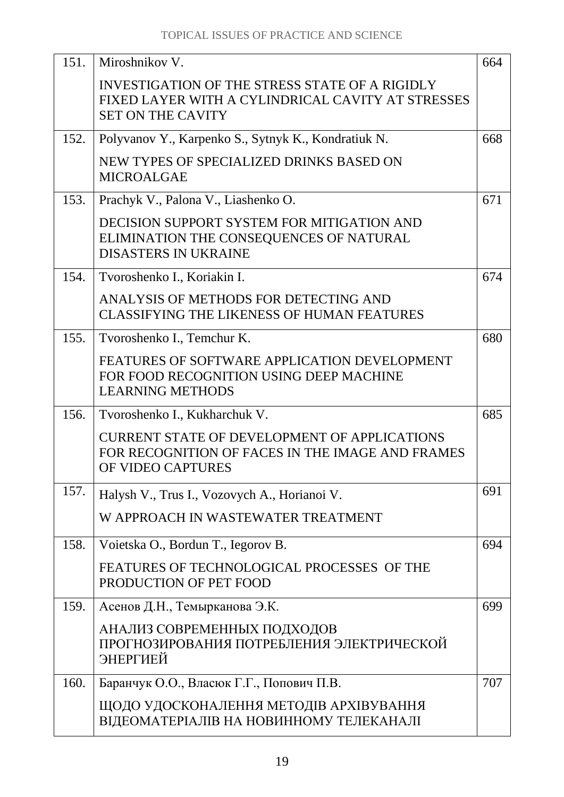| 151. | Miroshnikov V.                                                                                                                  | 664 |
|------|---------------------------------------------------------------------------------------------------------------------------------|-----|
|      | INVESTIGATION OF THE STRESS STATE OF A RIGIDLY<br>FIXED LAYER WITH A CYLINDRICAL CAVITY AT STRESSES<br><b>SET ON THE CAVITY</b> |     |
| 152. | Polyvanov Y., Karpenko S., Sytnyk K., Kondratiuk N.                                                                             | 668 |
|      | NEW TYPES OF SPECIALIZED DRINKS BASED ON<br><b>MICROALGAE</b>                                                                   |     |
| 153. | Prachyk V., Palona V., Liashenko O.                                                                                             | 671 |
|      | DECISION SUPPORT SYSTEM FOR MITIGATION AND<br>ELIMINATION THE CONSEQUENCES OF NATURAL<br><b>DISASTERS IN UKRAINE</b>            |     |
| 154. | Tvoroshenko I., Koriakin I.                                                                                                     | 674 |
|      | ANALYSIS OF METHODS FOR DETECTING AND<br><b>CLASSIFYING THE LIKENESS OF HUMAN FEATURES</b>                                      |     |
| 155. | Tvoroshenko I., Temchur K.                                                                                                      | 680 |
|      | FEATURES OF SOFTWARE APPLICATION DEVELOPMENT<br>FOR FOOD RECOGNITION USING DEEP MACHINE<br><b>LEARNING METHODS</b>              |     |
| 156. | Tvoroshenko I., Kukharchuk V.                                                                                                   | 685 |
|      | <b>CURRENT STATE OF DEVELOPMENT OF APPLICATIONS</b><br>FOR RECOGNITION OF FACES IN THE IMAGE AND FRAMES<br>OF VIDEO CAPTURES    |     |
| 157. | Halysh V., Trus I., Vozovych A., Horianoi V.                                                                                    | 691 |
|      | W APPROACH IN WASTEWATER TREATMENT                                                                                              |     |
| 158. | Voietska O., Bordun T., Iegorov B.                                                                                              | 694 |
|      | FEATURES OF TECHNOLOGICAL PROCESSES OF THE<br>PRODUCTION OF PET FOOD                                                            |     |
| 159. | Асенов Д.Н., Темырканова Э.К.                                                                                                   | 699 |
|      | АНАЛИЗ СОВРЕМЕННЫХ ПОДХОДОВ<br>ПРОГНОЗИРОВАНИЯ ПОТРЕБЛЕНИЯ ЭЛЕКТРИЧЕСКОЙ<br>ЭНЕРГИЕЙ                                            |     |
| 160. | Баранчук О.О., Власюк Г.Г., Попович П.В.                                                                                        | 707 |
|      | ЩОДО УДОСКОНАЛЕННЯ МЕТОДІВ АРХІВУВАННЯ<br>ВІДЕОМАТЕРІАЛІВ НА НОВИННОМУ ТЕЛЕКАНАЛІ                                               |     |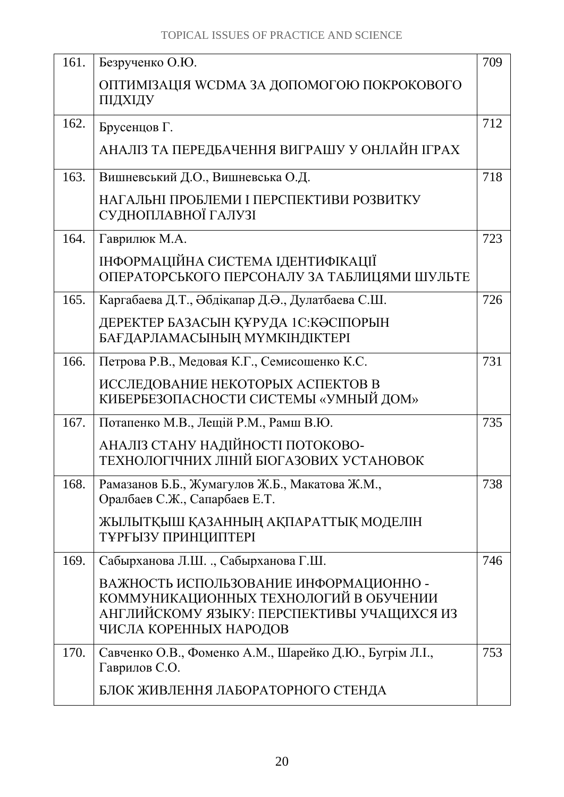| 161. | Безрученко О.Ю.                                                                                                                                          | 709 |
|------|----------------------------------------------------------------------------------------------------------------------------------------------------------|-----|
|      | ОПТИМІЗАЦІЯ WCDMA ЗА ДОПОМОГОЮ ПОКРОКОВОГО<br>ПІДХІДУ                                                                                                    |     |
| 162. | Брусенцов Г.                                                                                                                                             | 712 |
|      | АНАЛІЗ ТА ПЕРЕДБАЧЕННЯ ВИГРАШУ У ОНЛАЙН ІГРАХ                                                                                                            |     |
| 163. | Вишневський Д.О., Вишневська О.Д.                                                                                                                        | 718 |
|      | НАГАЛЬНІ ПРОБЛЕМИ І ПЕРСПЕКТИВИ РОЗВИТКУ<br>СУДНОПЛАВНОЇ ГАЛУЗІ                                                                                          |     |
| 164. | Гаврилюк М.А.                                                                                                                                            | 723 |
|      | ІНФОРМАЦІЙНА СИСТЕМА ІДЕНТИФІКАЦІЇ<br>ОПЕРАТОРСЬКОГО ПЕРСОНАЛУ ЗА ТАБЛИЦЯМИ ШУЛЬТЕ                                                                       |     |
| 165. | Каргабаева Д.Т., Әбдіқапар Д.Ә., Дулатбаева С.Ш.                                                                                                         | 726 |
|      | ДЕРЕКТЕР БАЗАСЫН ҚҰРУДА 1С: КӘСІПОРЫН<br>БАҒДАРЛАМАСЫНЫҢ МҮМКІНДІКТЕРІ                                                                                   |     |
| 166. | Петрова Р.В., Медовая К.Г., Семисошенко К.С.                                                                                                             | 731 |
|      | ИССЛЕДОВАНИЕ НЕКОТОРЫХ АСПЕКТОВ В<br>КИБЕРБЕЗОПАСНОСТИ СИСТЕМЫ «УМНЫЙ ДОМ»                                                                               |     |
| 167. | Потапенко М.В., Лещій Р.М., Рамш В.Ю.                                                                                                                    | 735 |
|      | АНАЛІЗ СТАНУ НАДІЙНОСТІ ПОТОКОВО-<br>ТЕХНОЛОГІЧНИХ ЛІНІЙ БІОГАЗОВИХ УСТАНОВОК                                                                            |     |
| 168. | Рамазанов Б.Б., Жумагулов Ж.Б., Макатова Ж.М.,<br>Оралбаев С.Ж., Сапарбаев Е.Т.                                                                          | 738 |
|      | ЖЫЛЫТҚЫШ ҚАЗАННЫҢ АҚПАРАТТЫҚ МОДЕЛІН<br>ТҰРҒЫЗУ ПРИНЦИПТЕРІ                                                                                              |     |
| 169. | Сабырханова Л.Ш. ., Сабырханова Г.Ш.                                                                                                                     | 746 |
|      | ВАЖНОСТЬ ИСПОЛЬЗОВАНИЕ ИНФОРМАЦИОННО -<br>КОММУНИКАЦИОННЫХ ТЕХНОЛОГИЙ В ОБУЧЕНИИ<br>АНГЛИЙСКОМУ ЯЗЫКУ: ПЕРСПЕКТИВЫ УЧАЩИХСЯ ИЗ<br>ЧИСЛА КОРЕННЫХ НАРОДОВ |     |
| 170. | Савченко О.В., Фоменко А.М., Шарейко Д.Ю., Бугрім Л.І.,<br>Гаврилов С.О.                                                                                 | 753 |
|      | БЛОК ЖИВЛЕННЯ ЛАБОРАТОРНОГО СТЕНДА                                                                                                                       |     |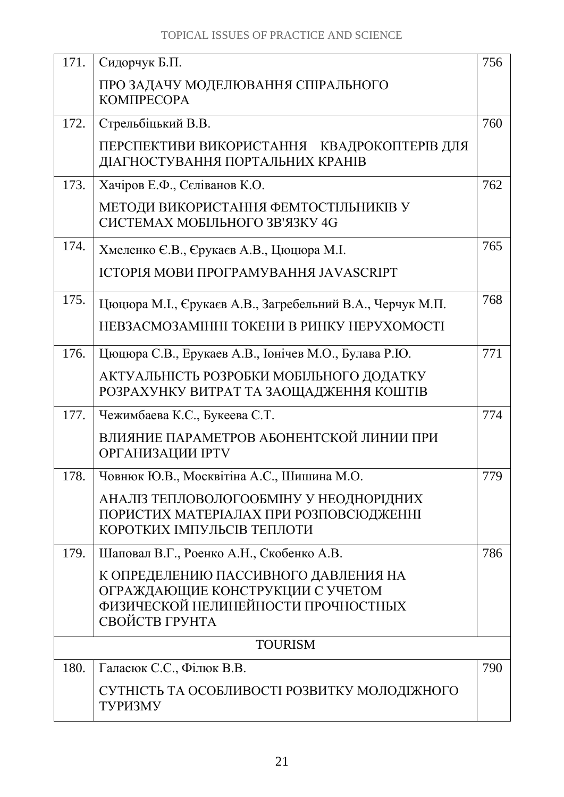| 171. | Сидорчук Б.П.                                                                                                                     | 756 |
|------|-----------------------------------------------------------------------------------------------------------------------------------|-----|
|      | ПРО ЗАДАЧУ МОДЕЛЮВАННЯ СПІРАЛЬНОГО<br><b>КОМПРЕСОРА</b>                                                                           |     |
| 172. | Стрельбіцький В.В.                                                                                                                | 760 |
|      | ПЕРСПЕКТИВИ ВИКОРИСТАННЯ КВАДРОКОПТЕРІВ ДЛЯ<br>ДІАГНОСТУВАННЯ ПОРТАЛЬНИХ КРАНІВ                                                   |     |
| 173. | Хачіров Е.Ф., Сєліванов К.О.                                                                                                      | 762 |
|      | МЕТОДИ ВИКОРИСТАННЯ ФЕМТОСТІЛЬНИКІВ У<br>СИСТЕМАХ МОБІЛЬНОГО ЗВ'ЯЗКУ 4G                                                           |     |
| 174. | Хмеленко Є.В., Єрукаєв А.В., Цюцюра М.І.                                                                                          | 765 |
|      | ІСТОРІЯ МОВИ ПРОГРАМУВАННЯ JAVASCRIPT                                                                                             |     |
| 175. | Цюцюра М.І., Єрукаєв А.В., Загребельний В.А., Черчук М.П.                                                                         | 768 |
|      | НЕВЗАЄМОЗАМІННІ ТОКЕНИ В РИНКУ НЕРУХОМОСТІ                                                                                        |     |
| 176. | Цюцюра С.В., Ерукаев А.В., Іонічев М.О., Булава Р.Ю.                                                                              | 771 |
|      | АКТУАЛЬНІСТЬ РОЗРОБКИ МОБІЛЬНОГО ДОДАТКУ<br>РОЗРАХУНКУ ВИТРАТ ТА ЗАОЩАДЖЕННЯ КОШТІВ                                               |     |
| 177. | Чежимбаева К.С., Букеева С.Т.                                                                                                     | 774 |
|      | ВЛИЯНИЕ ПАРАМЕТРОВ АБОНЕНТСКОЙ ЛИНИИ ПРИ<br><b>ОРГАНИЗАЦИИ ІРТV</b>                                                               |     |
| 178. | Човнюк Ю.В., Москвітіна А.С., Шишина М.О.                                                                                         | 779 |
|      | АНАЛІЗ ТЕПЛОВОЛОГООБМІНУ У НЕОДНОРІДНИХ<br>ПОРИСТИХ МАТЕРІАЛАХ ПРИ РОЗПОВСЮДЖЕННІ<br>КОРОТКИХ ІМПУЛЬСІВ ТЕПЛОТИ                   |     |
| 179. | Шаповал В.Г., Роенко А.Н., Скобенко А.В.                                                                                          | 786 |
|      | К ОПРЕДЕЛЕНИЮ ПАССИВНОГО ДАВЛЕНИЯ НА<br>ОГРАЖДАЮЩИЕ КОНСТРУКЦИИ С УЧЕТОМ<br>ФИЗИЧЕСКОЙ НЕЛИНЕЙНОСТИ ПРОЧНОСТНЫХ<br>СВОЙСТВ ГРУНТА |     |
|      | <b>TOURISM</b>                                                                                                                    |     |
| 180. | Галасюк С.С., Філюк В.В.                                                                                                          | 790 |
|      | СУТНІСТЬ ТА ОСОБЛИВОСТІ РОЗВИТКУ МОЛОДІЖНОГО<br>ТУРИЗМУ                                                                           |     |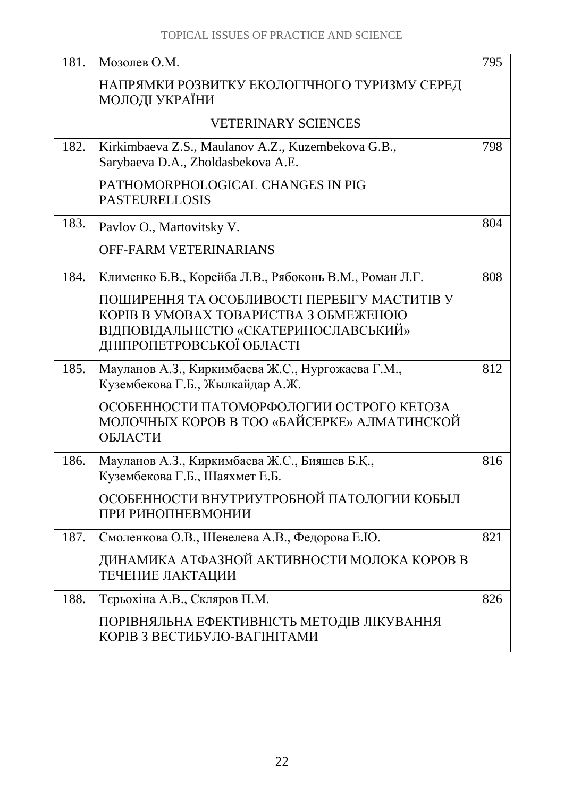| 181. | Мозолев О.М.                                                                                                                                                | 795 |
|------|-------------------------------------------------------------------------------------------------------------------------------------------------------------|-----|
|      | НАПРЯМКИ РОЗВИТКУ ЕКОЛОГІЧНОГО ТУРИЗМУ СЕРЕД<br>МОЛОДІ УКРАЇНИ                                                                                              |     |
|      | <b>VETERINARY SCIENCES</b>                                                                                                                                  |     |
| 182. | Kirkimbaeva Z.S., Maulanov A.Z., Kuzembekova G.B.,<br>Sarybaeva D.A., Zholdasbekova A.E.                                                                    | 798 |
|      | PATHOMORPHOLOGICAL CHANGES IN PIG<br><b>PASTEURELLOSIS</b>                                                                                                  |     |
| 183. | Pavlov O., Martovitsky V.                                                                                                                                   | 804 |
|      | <b>OFF-FARM VETERINARIANS</b>                                                                                                                               |     |
| 184. | Клименко Б.В., Корейба Л.В., Рябоконь В.М., Роман Л.Г.                                                                                                      | 808 |
|      | ПОШИРЕННЯ ТА ОСОБЛИВОСТІ ПЕРЕБІГУ МАСТИТІВ У<br>КОРІВ В УМОВАХ ТОВАРИСТВА З ОБМЕЖЕНОЮ<br>ВІДПОВІДАЛЬНІСТЮ «ЄКАТЕРИНОСЛАВСЬКИЙ»<br>ДНІПРОПЕТРОВСЬКОЇ ОБЛАСТІ |     |
| 185. | Мауланов А.З., Киркимбаева Ж.С., Нургожаева Г.М.,<br>Кузембекова Г.Б., Жылкайдар А.Ж.                                                                       | 812 |
|      | ОСОБЕННОСТИ ПАТОМОРФОЛОГИИ ОСТРОГО КЕТОЗА<br>МОЛОЧНЫХ КОРОВ В ТОО «БАЙСЕРКЕ» АЛМАТИНСКОЙ<br>ОБЛАСТИ                                                         |     |
| 186. | Мауланов А.З., Киркимбаева Ж.С., Бияшев Б.Қ.,<br>Кузембекова Г.Б., Шаяхмет Е.Б.                                                                             | 816 |
|      | ОСОБЕННОСТИ ВНУТРИУТРОБНОЙ ПАТОЛОГИИ КОБЫЛ<br>ПРИ РИНОПНЕВМОНИИ                                                                                             |     |
| 187. | Смоленкова О.В., Шевелева А.В., Федорова Е.Ю.                                                                                                               | 821 |
|      | ДИНАМИКА АТФАЗНОЙ АКТИВНОСТИ МОЛОКА КОРОВ В<br>ТЕЧЕНИЕ ЛАКТАЦИИ                                                                                             |     |
| 188. | Тєрьохіна А.В., Скляров П.М.                                                                                                                                | 826 |
|      | ПОРІВНЯЛЬНА ЕФЕКТИВНІСТЬ МЕТОДІВ ЛІКУВАННЯ<br>КОРІВ З ВЕСТИБУЛО-ВАГІНІТАМИ                                                                                  |     |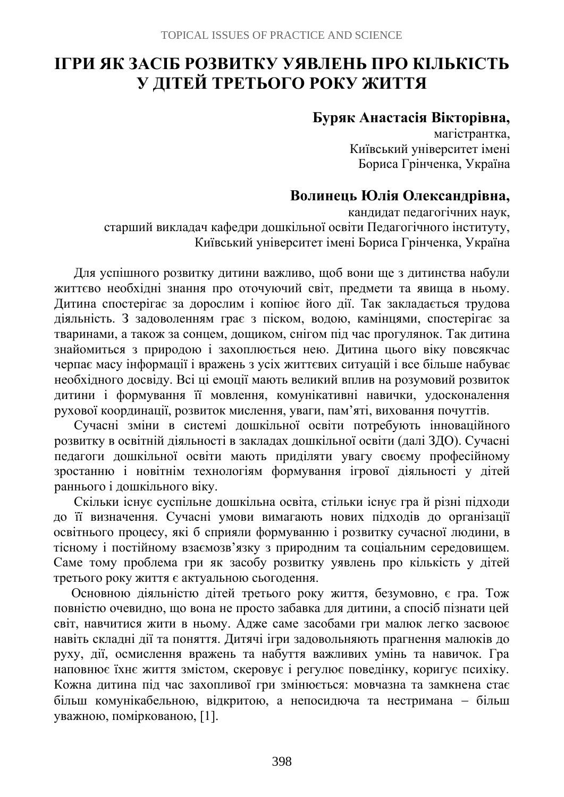# **ІГРИ ЯК ЗАСІБ РОЗВИТКУ УЯВЛЕНЬ ПРО КІЛЬКІСТЬ У ДІТЕЙ ТРЕТЬОГО РОКУ ЖИТТЯ**

#### **Буряк Анастасія Вікторівна,**

магістрантка, Київський університет імені Бориса Грінченка, Україна

## **Волинець Юлія Олександрівна,**

кандидат педагогічних наук, старший викладач кафедри дошкільної освіти Педагогічного інституту, Київський університет імені Бориса Грінченка, Україна

Для успішного розвитку дитини важливо, щоб вони ще з дитинства набули життєво необхідні знання про оточуючий світ, предмети та явища в ньому. Дитина спостерігає за дорослим і копіює його дії. Так закладається трудова діяльність. З задоволенням грає з піском, водою, камінцями, спостерігає за тваринами, а також за сонцем, дощиком, снігом під час прогулянок. Так дитина знайомиться з природою і захоплюється нею. Дитина цього віку повсякчас черпає масу інформації і вражень з усіх життєвих ситуацій і все більше набуває необхідного досвіду. Всі ці емоції мають великий вплив на розумовий розвиток дитини і формування її мовлення, комунікативні навички, удосконалення рухової координації, розвиток мислення, уваги, пам'яті, виховання почуттів.

Сучасні зміни в системі дошкільної освіти потребують інноваційного розвитку в освітній діяльності в закладах дошкільної освіти (далі ЗДО). Сучасні педагоги дошкільної освіти мають приділяти увагу своєму професійному зростанню і новітнім технологіям формування ігрової діяльності у дітей раннього і дошкільного віку.

Скільки існує суспільне дошкільна освіта, стільки існує гра й різні підходи до її визначення. Сучасні умови вимагають нових підходів до організації освітнього процесу, які б сприяли формуванню і розвитку сучасної людини, в тісному і постійному взаємозв'язку з природним та соціальним середовищем. Саме тому проблема гри як засобу розвитку уявлень про кількість у дітей третього року життя є актуальною сьогодення.

Основною діяльністю дітей третього року життя, безумовно, є гра. Тож повністю очевидно, що вона не просто забавка для дитини, а спосіб пізнати цей світ, навчитися жити в ньому. Адже саме засобами гри малюк легко засвоює навіть складні дії та поняття. Дитячі ігри задовольняють прагнення малюків до руху, дії, осмислення вражень та набуття важливих умінь та навичок. Гра наповнює їхнє життя змістом, скеровує і регулює поведінку, коригує психіку. Кожна дитина під час захопливої гри змінюється: мовчазна та замкнена стає більш комунікабельною, відкритою, а непосидюча та нестримана − більш уважною, поміркованою, [1].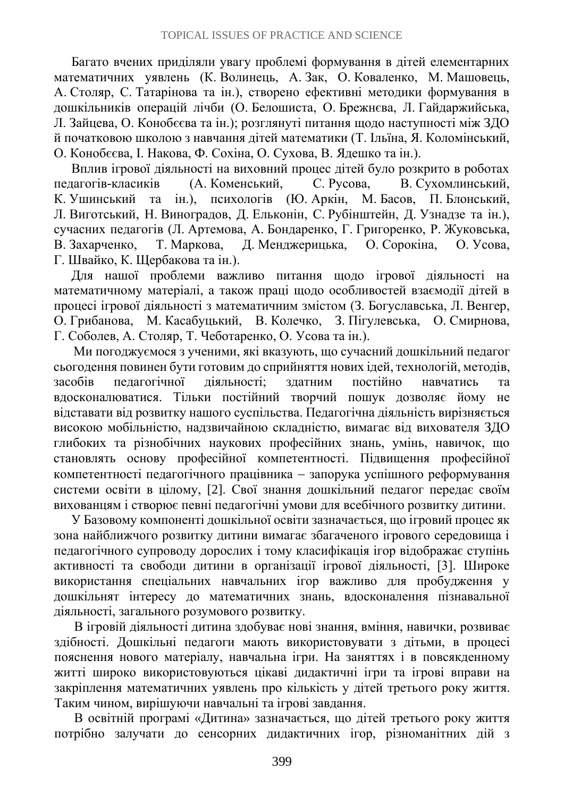Багато вчених приділяли увагу проблемі формування в дітей елементарних математичних уявлень (К. Волинець, А. Зак, О. Коваленко, М. Машовець, А. Столяр, С. Татарінова та ін.), створено ефективні методики формування в дошкільників операцій лічби (О. Белошиста, О. Брежнєва, Л. Гайдаржийська, Л. Зайцева, О. Конобєєва та ін.); розглянуті питання щодо наступності між ЗДО й початковою школою з навчання дітей математики (Т. Ільїна, Я. Коломінський, О. Конобєєва, І. Накова, Ф. Сохіна, О. Сухова, В. Ядешко та ін.).

Вплив ігрової діяльності на виховний процес дітей було розкрито в роботах педагогів-класиків (А. Коменський, С. Русова, В. Сухомлинський, К. Ушинський та ін.), психологів (Ю. Аркін, М. Басов, П. Блонський, Л. Виготський, Н. Виноградов, Д. Ельконін, С. Рубінштейн, Д. Узнадзе та ін.), сучасних педагогів (Л. Артемова, А. Бондаренко, Г. Григоренко, Р. Жуковська, В. Захарченко, Т. Маркова, Д. Менджерицька, О. Сорокіна, О. Усова, Г. Швайко, К. Щербакова та ін.).

Для нашої проблеми важливо питання щодо ігрової діяльності на математичному матеріалі, а також праці щодо особливостей взаємодії дітей в процесі ігрової діяльності з математичним змістом (З. Богуславська, Л. Венгер, О. Грибанова, М. Касабуцький, В. Колечко, З. Пігулевська, О. Смирнова, Г. Соболев, А. Столяр, Т. Чеботаренко, О. Усова та ін.).

Ми погоджуємося з ученими, які вказують, що сучасний дошкільний педагог сьогодення повинен бути готовим до сприйняття нових ідей, технологій, методів, засобів педагогічної діяльності; здатним постійно навчатись та вдосконалюватися. Тільки постійний творчий пошук дозволяє йому не відставати від розвитку нашого суспільства. Педагогічна діяльність вирізняється високою мобільністю, надзвичайною складністю, вимагає від вихователя ЗДО глибоких та різнобічних наукових професійних знань, умінь, навичок, що становлять основу професійної компетентності. Підвищення професійної компетентності педагогічного працівника − запорука успішного реформування системи освіти в цілому, [2]. Свої знання дошкільний педагог передає своїм вихованцям і створює певні педагогічні умови для всебічного розвитку дитини.

У Базовому компоненті дошкільної освіти зазначається, що ігровий процес як зона найближчого розвитку дитини вимагає збагаченого ігрового середовища і педагогічного супроводу дорослих і тому класифікація ігор відображає ступінь активності та свободи дитини в організації ігрової діяльності, [3]. Широке використання спеціальних навчальних ігор важливо для пробудження у дошкільнят інтересу до математичних знань, вдосконалення пізнавальної діяльності, загального розумового розвитку.

В ігровій діяльності дитина здобуває нові знання, вміння, навички, розвиває здібності. Дошкільні педагоги мають використовувати з дітьми, в процесі пояснення нового матеріалу, навчальна ігри. На заняттях і в повсякденному житті широко використовуються цікаві дидактичні ігри та ігрові вправи на закріплення математичних уявлень про кількість у дітей третього року життя. Таким чином, вирішуючи навчальні та ігрові завдання.

В освітній програмі «Дитина» зазначається, що дітей третього року життя потрібно залучати до сенсорних дидактичних ігор, різноманітних дій з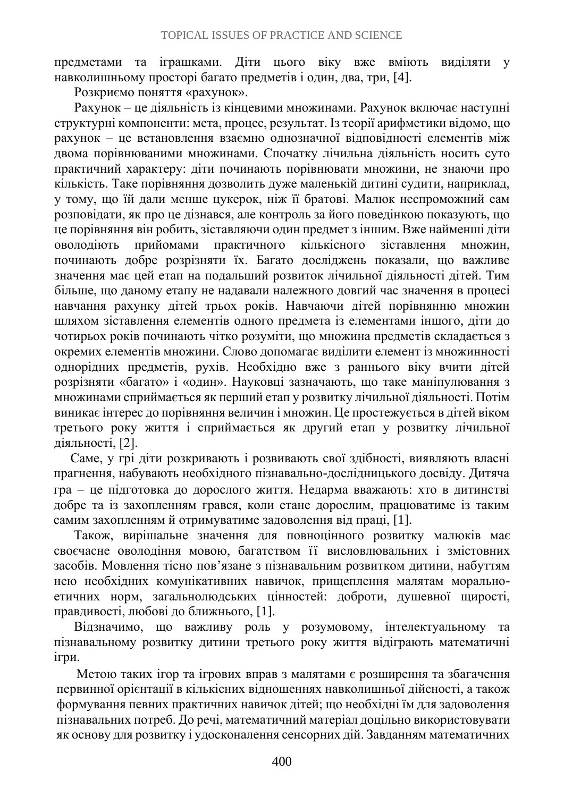предметами та іграшками. Діти цього віку вже вміють виділяти у навколишньому просторі багато предметів і один, два, три, [4].

Розкриємо поняття «рахунок».

Рахунок – це діяльність із кінцевими множинами. Рахунок включає наступні структурні компоненти: мета, процес, результат. Із теорії арифметики відомо, що рахунок – це встановлення взаємно однозначної відповідності елементів між двома порівнюваними множинами. Спочатку лічильна діяльність носить суто практичний характеру: діти починають порівнювати множини, не знаючи про кількість. Таке порівняння дозволить дуже маленькій дитині судити, наприклад, у тому, що їй дали менше цукерок, ніж її братові. Малюк неспроможний сам розповідати, як про це дізнався, але контроль за його поведінкою показують, що це порівняння він робить, зіставляючи один предмет з іншим. Вже найменші діти оволодіють прийомами практичного кількісного зіставлення множин, починають добре розрізняти їх. Багато досліджень показали, що важливе значення має цей етап на подальший розвиток лічильної діяльності дітей. Тим більше, що даному етапу не надавали належного довгий час значення в процесі навчання рахунку дітей трьох років. Навчаючи дітей порівнянню множин шляхом зіставлення елементів одного предмета із елементами іншого, діти до чотирьох років починають чітко розуміти, що множина предметів складається з окремих елементів множини. Слово допомагає виділити елемент із множинності однорідних предметів, рухів. Необхідно вже з раннього віку вчити дітей розрізняти «багато» і «один». Науковці зазначають, що таке маніпулювання з множинами сприймається як перший етап у розвитку лічильної діяльності. Потім виникає інтерес до порівняння величин і множин. Це простежується в дітей віком третього року життя і сприймається як другий етап у розвитку лічильної діяльності, [2].

Саме, у грі діти розкривають і розвивають свої здібності, виявляють власні прагнення, набувають необхідного пізнавально-дослідницького досвіду. Дитяча гра − це підготовка до дорослого життя. Недарма вважають: хто в дитинстві добре та із захопленням грався, коли стане дорослим, працюватиме із таким самим захопленням й отримуватиме задоволення від праці, [1].

Також, вирішальне значення для повноцінного розвитку малюків має своєчасне оволодіння мовою, багатством її висловлювальних і змістовних засобів. Мовлення тісно пов'язане з пізнавальним розвитком дитини, набуттям нею необхідних комунікативних навичок, прищеплення малятам моральноетичних норм, загальнолюдських цінностей: доброти, душевної щирості, правдивості, любові до ближнього, [1].

Відзначимо, що важливу роль у розумовому, інтелектуальному та пізнавальному розвитку дитини третього року життя відіграють математичні ігри.

Метою таких ігор та ігрових вправ з малятами є розширення та збагачення первинної орієнтації в кількісних відношеннях навколишньої дійсності, а також формування певних практичних навичок дітей; що необхідні їм для задоволення пізнавальних потреб. До речі, математичний матеріал доцільно використовувати як основу для розвитку і удосконалення сенсорних дій. Завданням математичних